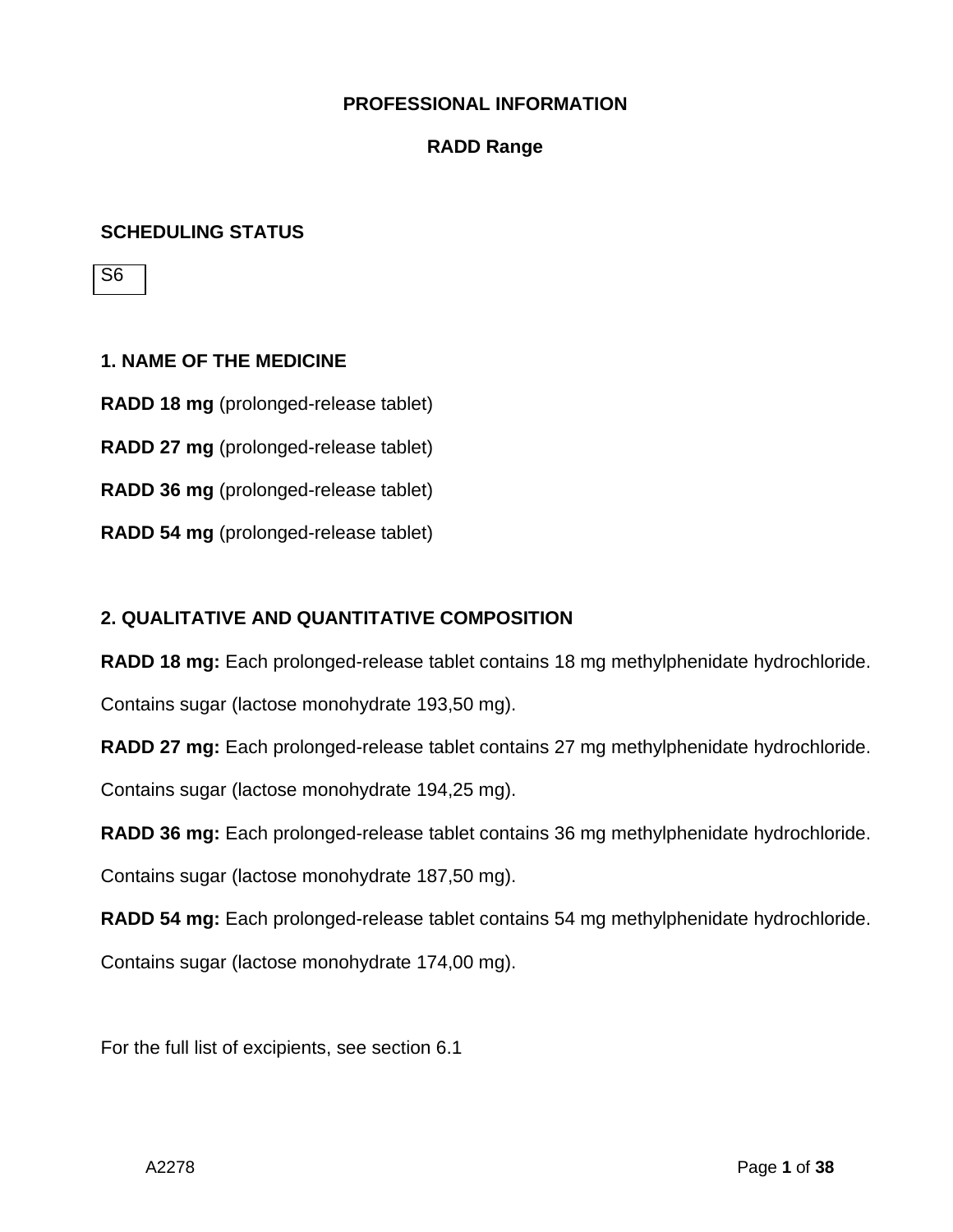#### **RADD Range**

#### **SCHEDULING STATUS**

S6

**1. NAME OF THE MEDICINE RADD 18 mg** (prolonged-release tablet) **RADD 27 mg** (prolonged-release tablet) **RADD 36 mg** (prolonged-release tablet) **RADD 54 mg** (prolonged-release tablet)

## **2. QUALITATIVE AND QUANTITATIVE COMPOSITION**

**RADD 18 mg:** Each prolonged-release tablet contains 18 mg methylphenidate hydrochloride.

Contains sugar (lactose monohydrate 193,50 mg).

**RADD 27 mg:** Each prolonged-release tablet contains 27 mg methylphenidate hydrochloride.

Contains sugar (lactose monohydrate 194,25 mg).

**RADD 36 mg:** Each prolonged-release tablet contains 36 mg methylphenidate hydrochloride.

Contains sugar (lactose monohydrate 187,50 mg).

**RADD 54 mg:** Each prolonged-release tablet contains 54 mg methylphenidate hydrochloride.

Contains sugar (lactose monohydrate 174,00 mg).

For the full list of excipients, see section 6.1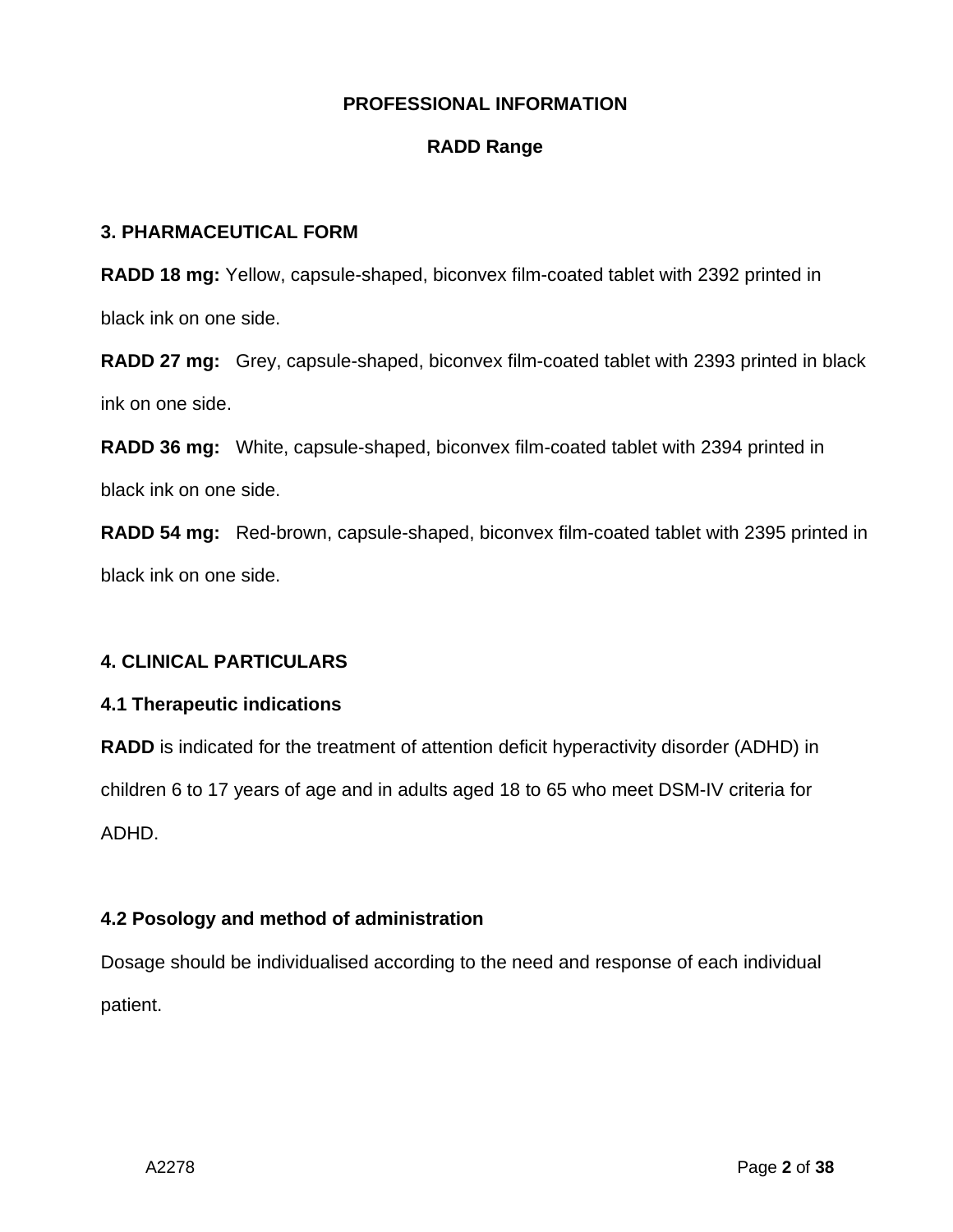## **RADD Range**

## **3. PHARMACEUTICAL FORM**

**RADD 18 mg:** Yellow, capsule-shaped, biconvex film-coated tablet with 2392 printed in black ink on one side.

**RADD 27 mg:** Grey, capsule-shaped, biconvex film-coated tablet with 2393 printed in black ink on one side.

**RADD 36 mg:** White, capsule-shaped, biconvex film-coated tablet with 2394 printed in black ink on one side.

**RADD 54 mg:** Red-brown, capsule-shaped, biconvex film-coated tablet with 2395 printed in black ink on one side.

## **4. CLINICAL PARTICULARS**

## **4.1 Therapeutic indications**

**RADD** is indicated for the treatment of attention deficit hyperactivity disorder (ADHD) in children 6 to 17 years of age and in adults aged 18 to 65 who meet DSM-IV criteria for ADHD.

## **4.2 Posology and method of administration**

Dosage should be individualised according to the need and response of each individual patient.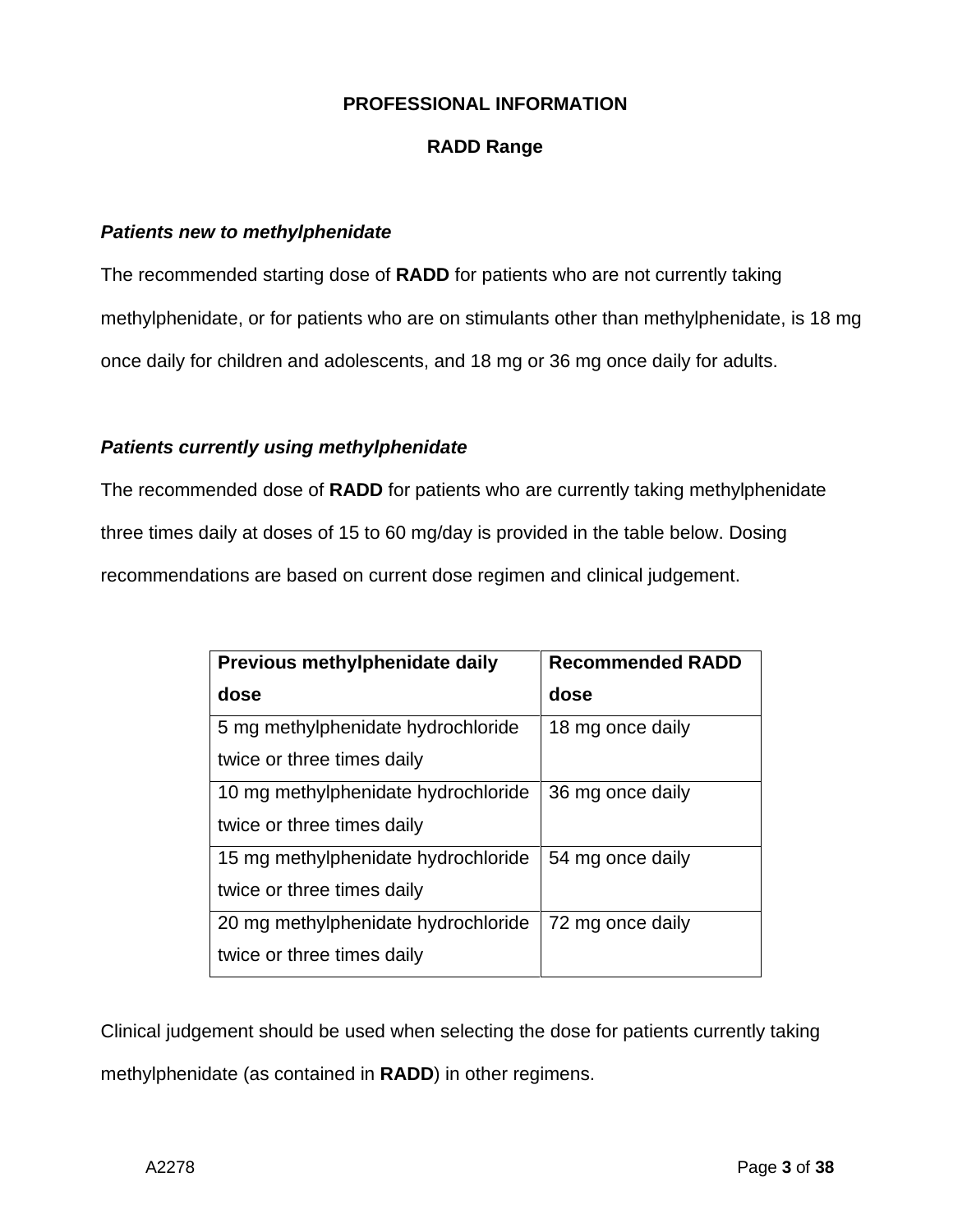## **RADD Range**

#### *Patients new to methylphenidate*

The recommended starting dose of **RADD** for patients who are not currently taking methylphenidate, or for patients who are on stimulants other than methylphenidate, is 18 mg once daily for children and adolescents, and 18 mg or 36 mg once daily for adults.

#### *Patients currently using methylphenidate*

The recommended dose of **RADD** for patients who are currently taking methylphenidate three times daily at doses of 15 to 60 mg/day is provided in the table below. Dosing recommendations are based on current dose regimen and clinical judgement.

| Previous methylphenidate daily      | <b>Recommended RADD</b> |
|-------------------------------------|-------------------------|
| dose                                | dose                    |
| 5 mg methylphenidate hydrochloride  | 18 mg once daily        |
| twice or three times daily          |                         |
| 10 mg methylphenidate hydrochloride | 36 mg once daily        |
| twice or three times daily          |                         |
| 15 mg methylphenidate hydrochloride | 54 mg once daily        |
| twice or three times daily          |                         |
| 20 mg methylphenidate hydrochloride | 72 mg once daily        |
| twice or three times daily          |                         |

Clinical judgement should be used when selecting the dose for patients currently taking methylphenidate (as contained in **RADD**) in other regimens.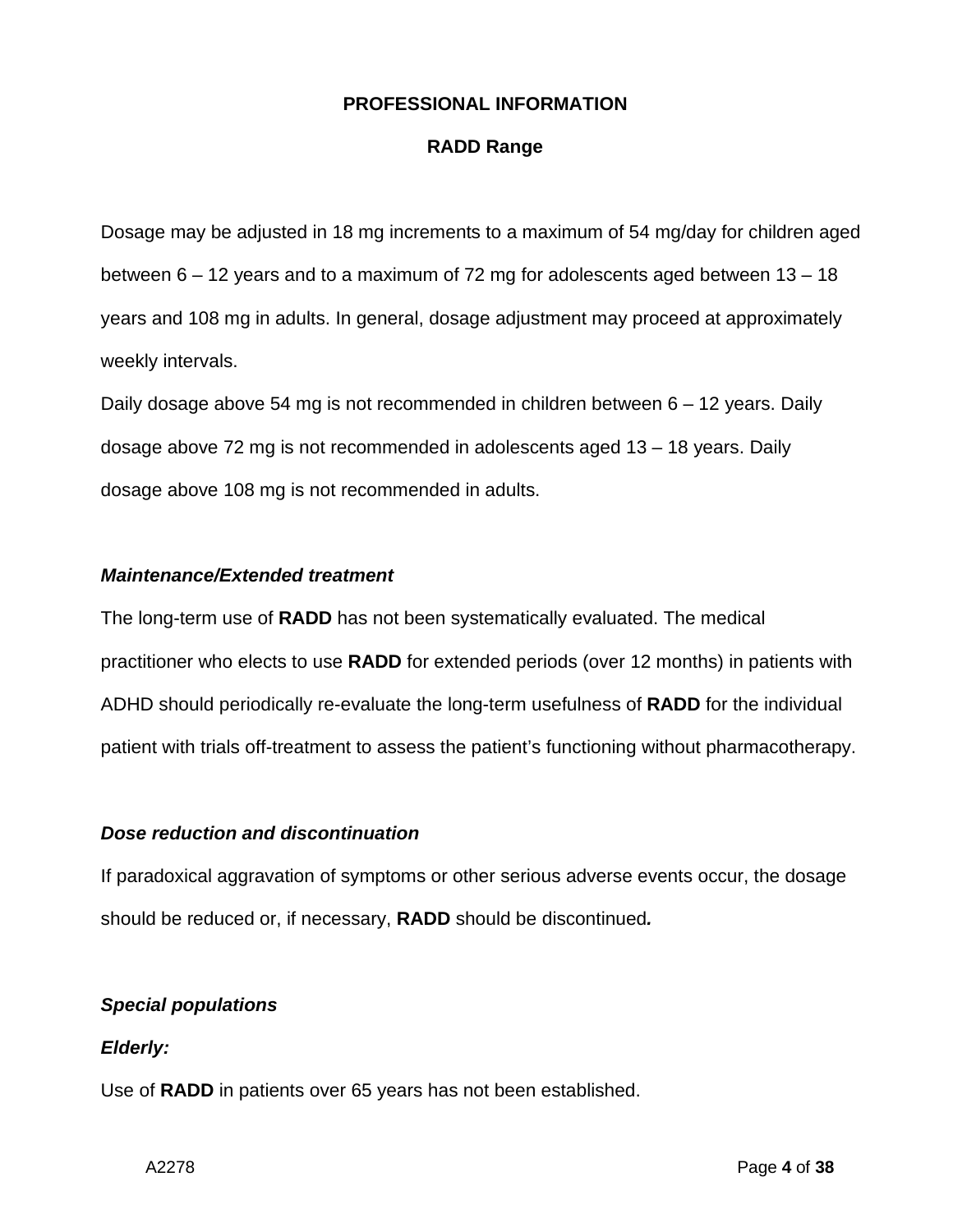## **RADD Range**

Dosage may be adjusted in 18 mg increments to a maximum of 54 mg/day for children aged between 6 – 12 years and to a maximum of 72 mg for adolescents aged between 13 – 18 years and 108 mg in adults. In general, dosage adjustment may proceed at approximately weekly intervals.

Daily dosage above 54 mg is not recommended in children between 6 – 12 years. Daily dosage above 72 mg is not recommended in adolescents aged 13 – 18 years. Daily dosage above 108 mg is not recommended in adults.

#### *Maintenance/Extended treatment*

The long-term use of **RADD** has not been systematically evaluated. The medical practitioner who elects to use **RADD** for extended periods (over 12 months) in patients with ADHD should periodically re-evaluate the long-term usefulness of **RADD** for the individual patient with trials off-treatment to assess the patient's functioning without pharmacotherapy.

## *Dose reduction and discontinuation*

If paradoxical aggravation of symptoms or other serious adverse events occur, the dosage should be reduced or, if necessary, **RADD** should be discontinued*.*

## *Special populations*

## *Elderly:*

Use of **RADD** in patients over 65 years has not been established.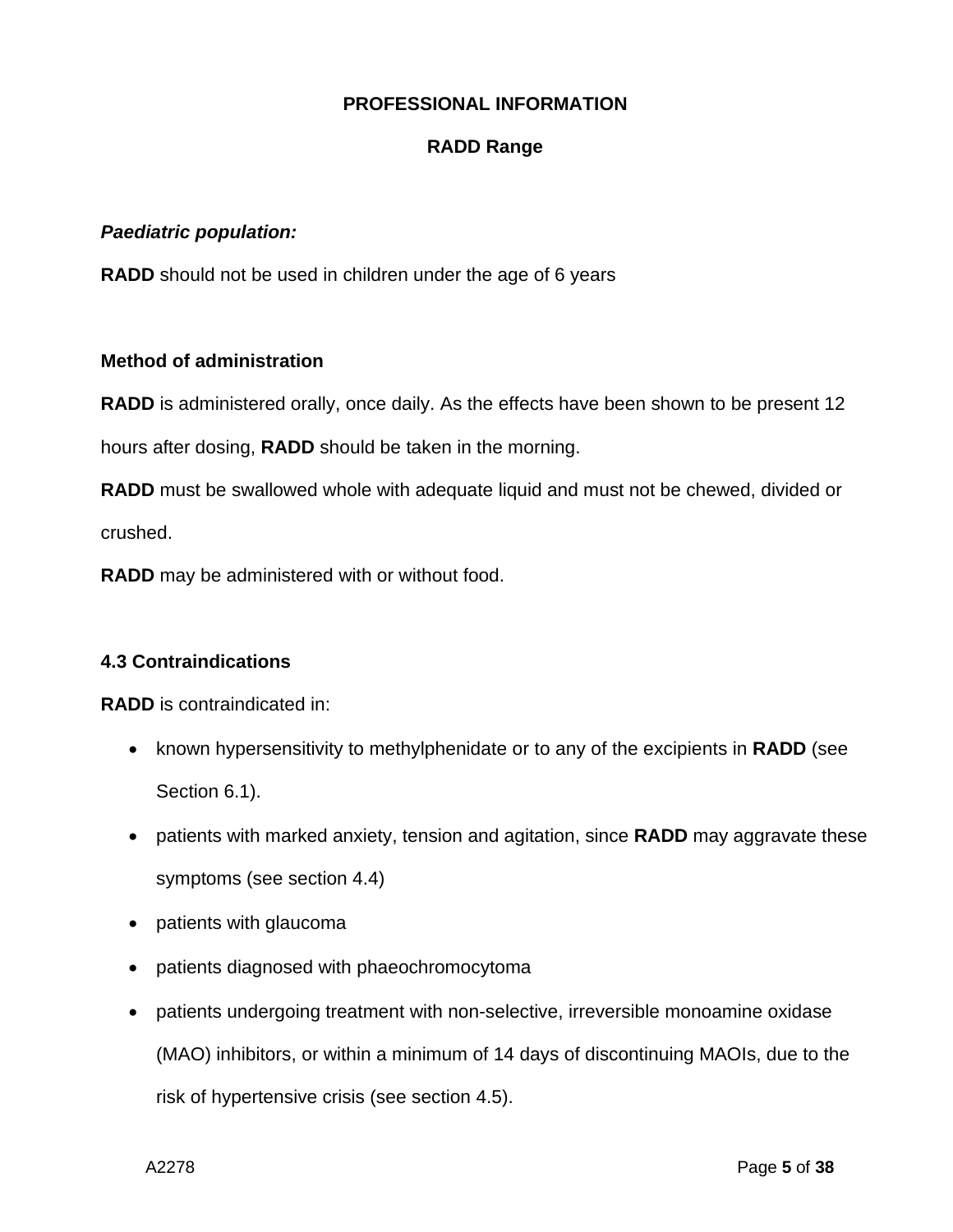## **RADD Range**

#### *Paediatric population:*

**RADD** should not be used in children under the age of 6 years

#### **Method of administration**

**RADD** is administered orally, once daily. As the effects have been shown to be present 12

hours after dosing, **RADD** should be taken in the morning.

**RADD** must be swallowed whole with adequate liquid and must not be chewed, divided or crushed.

**RADD** may be administered with or without food.

## **4.3 Contraindications**

**RADD** is contraindicated in:

- known hypersensitivity to methylphenidate or to any of the excipients in **RADD** (see Section 6.1).
- patients with marked anxiety, tension and agitation, since **RADD** may aggravate these symptoms (see section 4.4)
- patients with glaucoma
- patients diagnosed with phaeochromocytoma
- patients undergoing treatment with non-selective, irreversible monoamine oxidase (MAO) inhibitors, or within a minimum of 14 days of discontinuing MAOIs, due to the risk of hypertensive crisis (see section 4.5).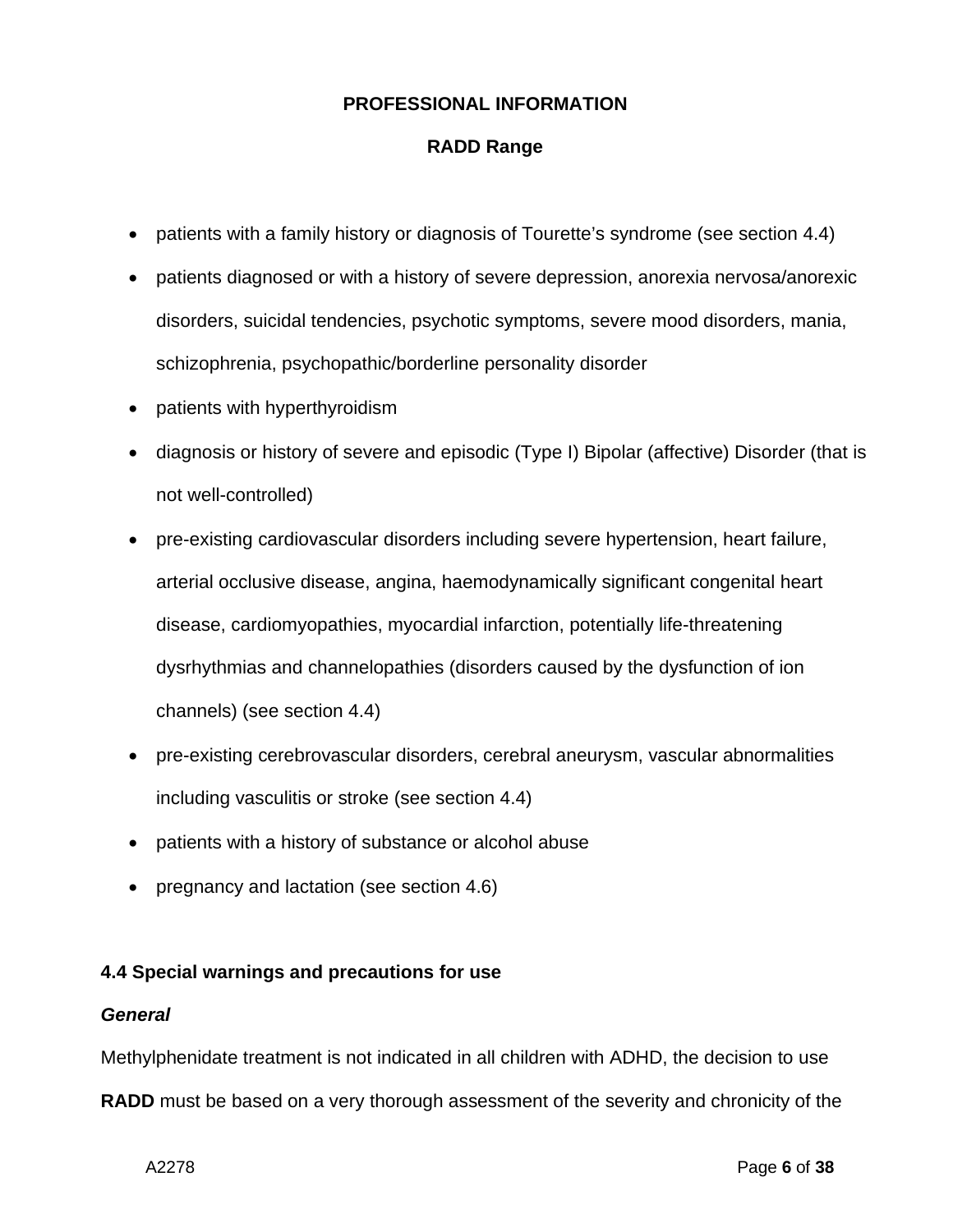## **RADD Range**

- patients with a family history or diagnosis of Tourette's syndrome (see section 4.4)
- patients diagnosed or with a history of severe depression, anorexia nervosa/anorexic disorders, suicidal tendencies, psychotic symptoms, severe mood disorders, mania, schizophrenia, psychopathic/borderline personality disorder
- patients with hyperthyroidism
- diagnosis or history of severe and episodic (Type I) Bipolar (affective) Disorder (that is not well-controlled)
- pre-existing cardiovascular disorders including severe hypertension, heart failure, arterial occlusive disease, angina, haemodynamically significant congenital heart disease, cardiomyopathies, myocardial infarction, potentially life-threatening dysrhythmias and channelopathies (disorders caused by the dysfunction of ion channels) (see section 4.4)
- pre-existing cerebrovascular disorders, cerebral aneurysm, vascular abnormalities including vasculitis or stroke (see section 4.4)
- patients with a history of substance or alcohol abuse
- pregnancy and lactation (see section 4.6)

## **4.4 Special warnings and precautions for use**

#### *General*

Methylphenidate treatment is not indicated in all children with ADHD, the decision to use **RADD** must be based on a very thorough assessment of the severity and chronicity of the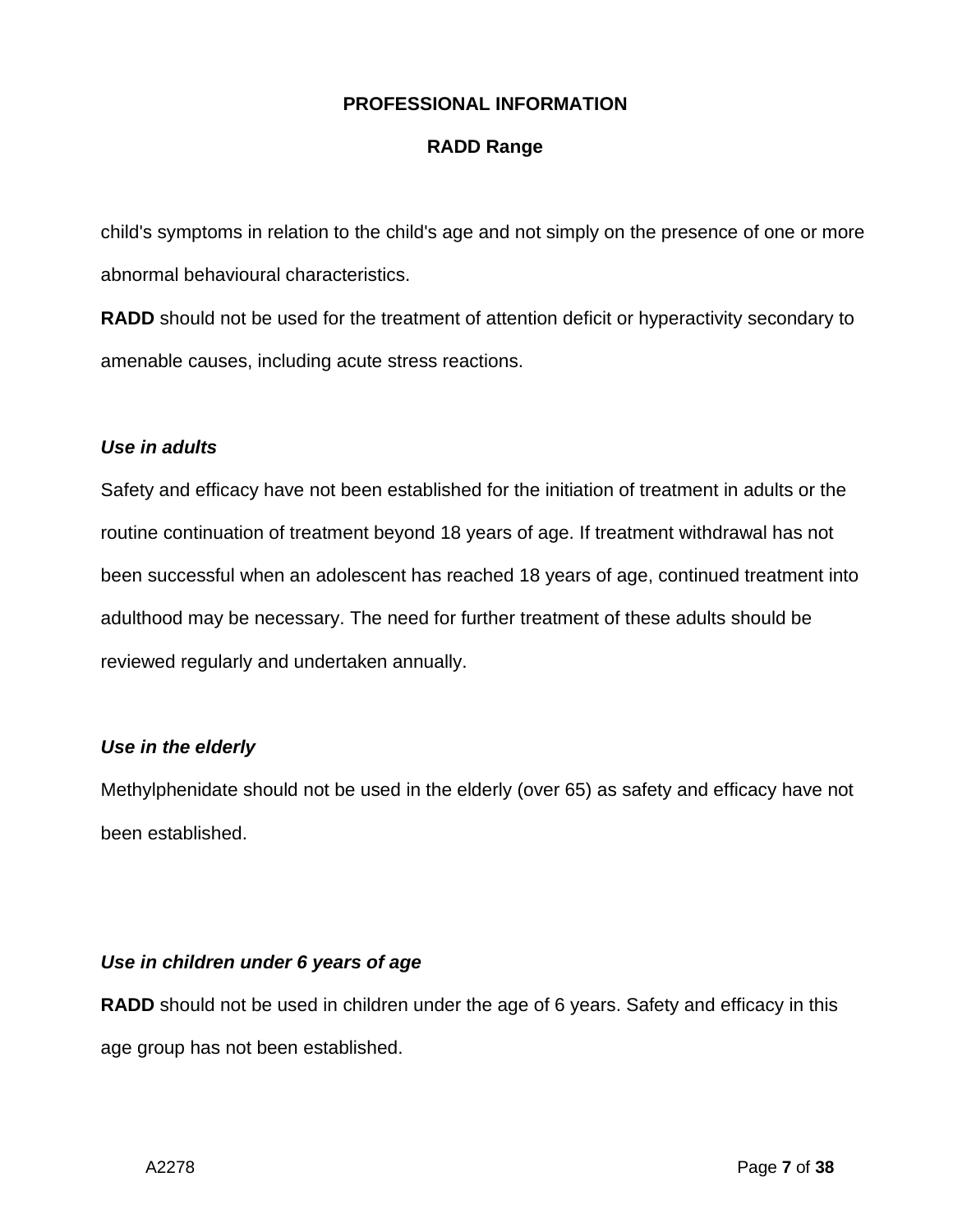## **RADD Range**

child's symptoms in relation to the child's age and not simply on the presence of one or more abnormal behavioural characteristics.

**RADD** should not be used for the treatment of attention deficit or hyperactivity secondary to amenable causes, including acute stress reactions.

#### *Use in adults*

Safety and efficacy have not been established for the initiation of treatment in adults or the routine continuation of treatment beyond 18 years of age. If treatment withdrawal has not been successful when an adolescent has reached 18 years of age, continued treatment into adulthood may be necessary. The need for further treatment of these adults should be reviewed regularly and undertaken annually.

## *Use in the elderly*

Methylphenidate should not be used in the elderly (over 65) as safety and efficacy have not been established.

#### *Use in children under 6 years of age*

**RADD** should not be used in children under the age of 6 years. Safety and efficacy in this age group has not been established.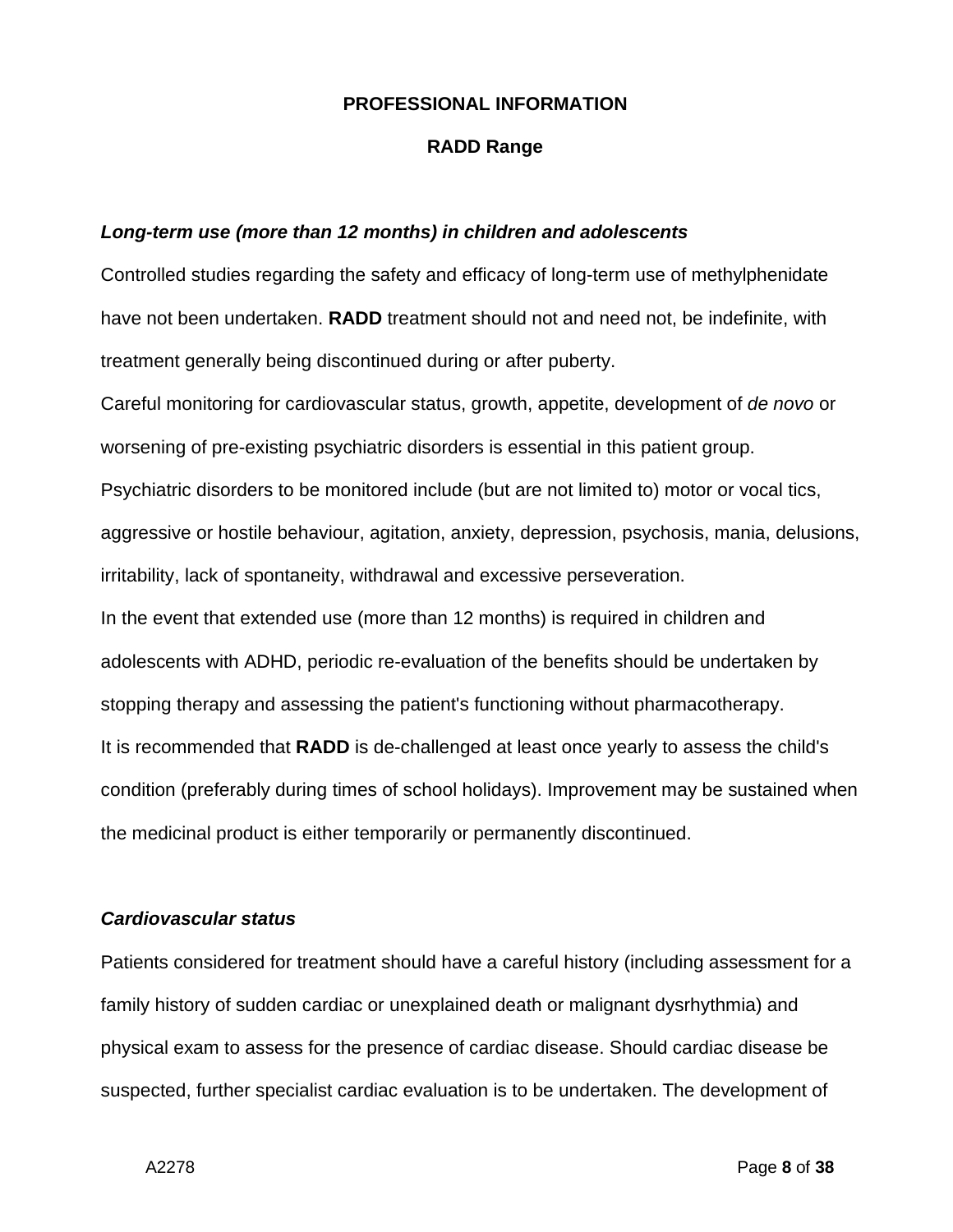#### **RADD Range**

#### *Long-term use (more than 12 months) in children and adolescents*

Controlled studies regarding the safety and efficacy of long-term use of methylphenidate have not been undertaken. **RADD** treatment should not and need not, be indefinite, with treatment generally being discontinued during or after puberty.

Careful monitoring for cardiovascular status, growth, appetite, development of *de novo* or worsening of pre-existing psychiatric disorders is essential in this patient group. Psychiatric disorders to be monitored include (but are not limited to) motor or vocal tics, aggressive or hostile behaviour, agitation, anxiety, depression, psychosis, mania, delusions, irritability, lack of spontaneity, withdrawal and excessive perseveration. In the event that extended use (more than 12 months) is required in children and adolescents with ADHD, periodic re-evaluation of the benefits should be undertaken by stopping therapy and assessing the patient's functioning without pharmacotherapy. It is recommended that **RADD** is de-challenged at least once yearly to assess the child's condition (preferably during times of school holidays). Improvement may be sustained when the medicinal product is either temporarily or permanently discontinued.

## *Cardiovascular status*

Patients considered for treatment should have a careful history (including assessment for a family history of sudden cardiac or unexplained death or malignant dysrhythmia) and physical exam to assess for the presence of cardiac disease. Should cardiac disease be suspected, further specialist cardiac evaluation is to be undertaken. The development of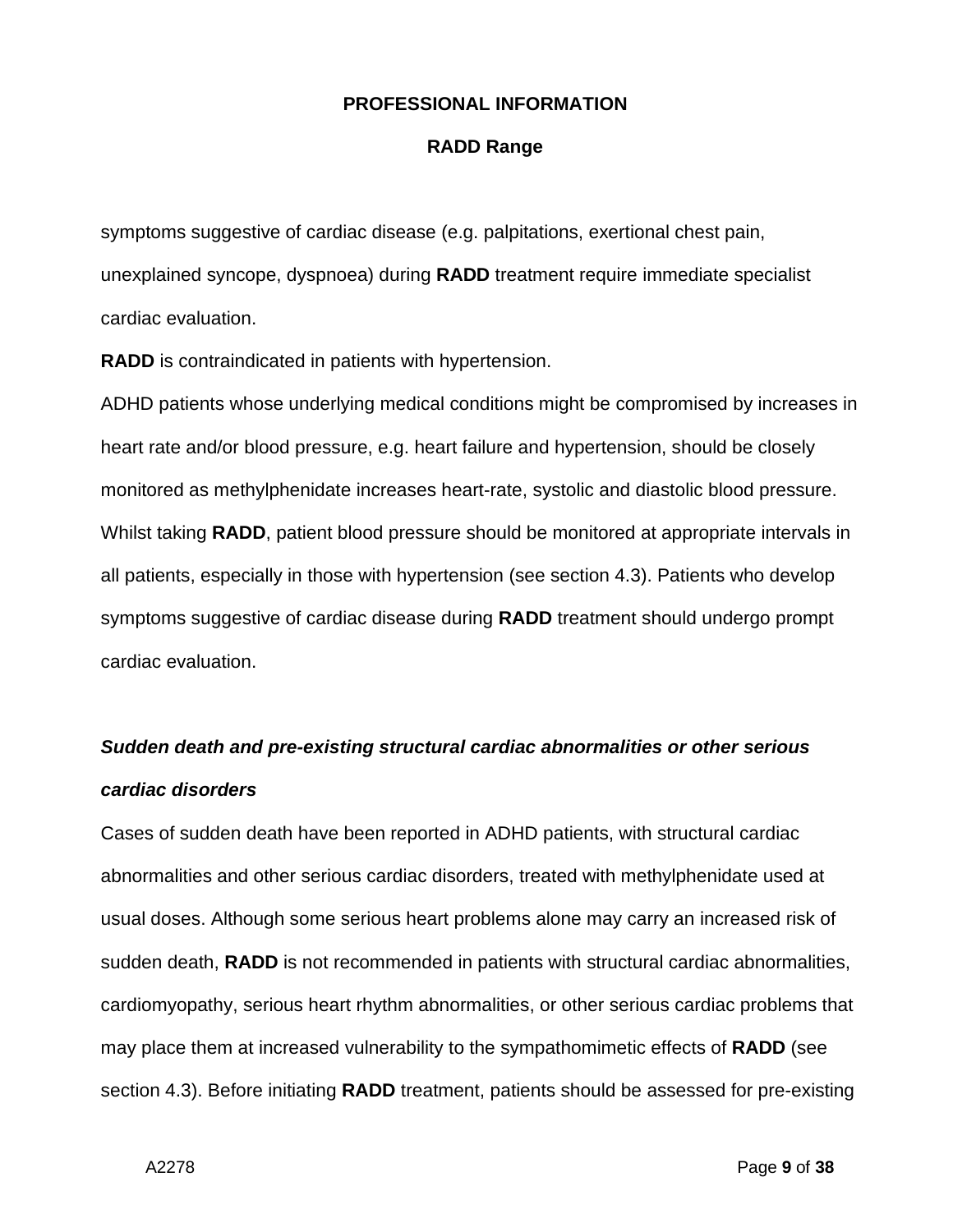#### **RADD Range**

symptoms suggestive of cardiac disease (e.g. palpitations, exertional chest pain, unexplained syncope, dyspnoea) during **RADD** treatment require immediate specialist cardiac evaluation.

**RADD** is contraindicated in patients with hypertension.

ADHD patients whose underlying medical conditions might be compromised by increases in heart rate and/or blood pressure, e.g. heart failure and hypertension, should be closely monitored as methylphenidate increases heart-rate, systolic and diastolic blood pressure. Whilst taking **RADD**, patient blood pressure should be monitored at appropriate intervals in all patients, especially in those with hypertension (see section 4.3). Patients who develop symptoms suggestive of cardiac disease during **RADD** treatment should undergo prompt cardiac evaluation.

# *Sudden death and pre-existing structural cardiac abnormalities or other serious cardiac disorders*

Cases of sudden death have been reported in ADHD patients, with structural cardiac abnormalities and other serious cardiac disorders, treated with methylphenidate used at usual doses. Although some serious heart problems alone may carry an increased risk of sudden death, **RADD** is not recommended in patients with structural cardiac abnormalities, cardiomyopathy, serious heart rhythm abnormalities, or other serious cardiac problems that may place them at increased vulnerability to the sympathomimetic effects of **RADD** (see section 4.3). Before initiating **RADD** treatment, patients should be assessed for pre-existing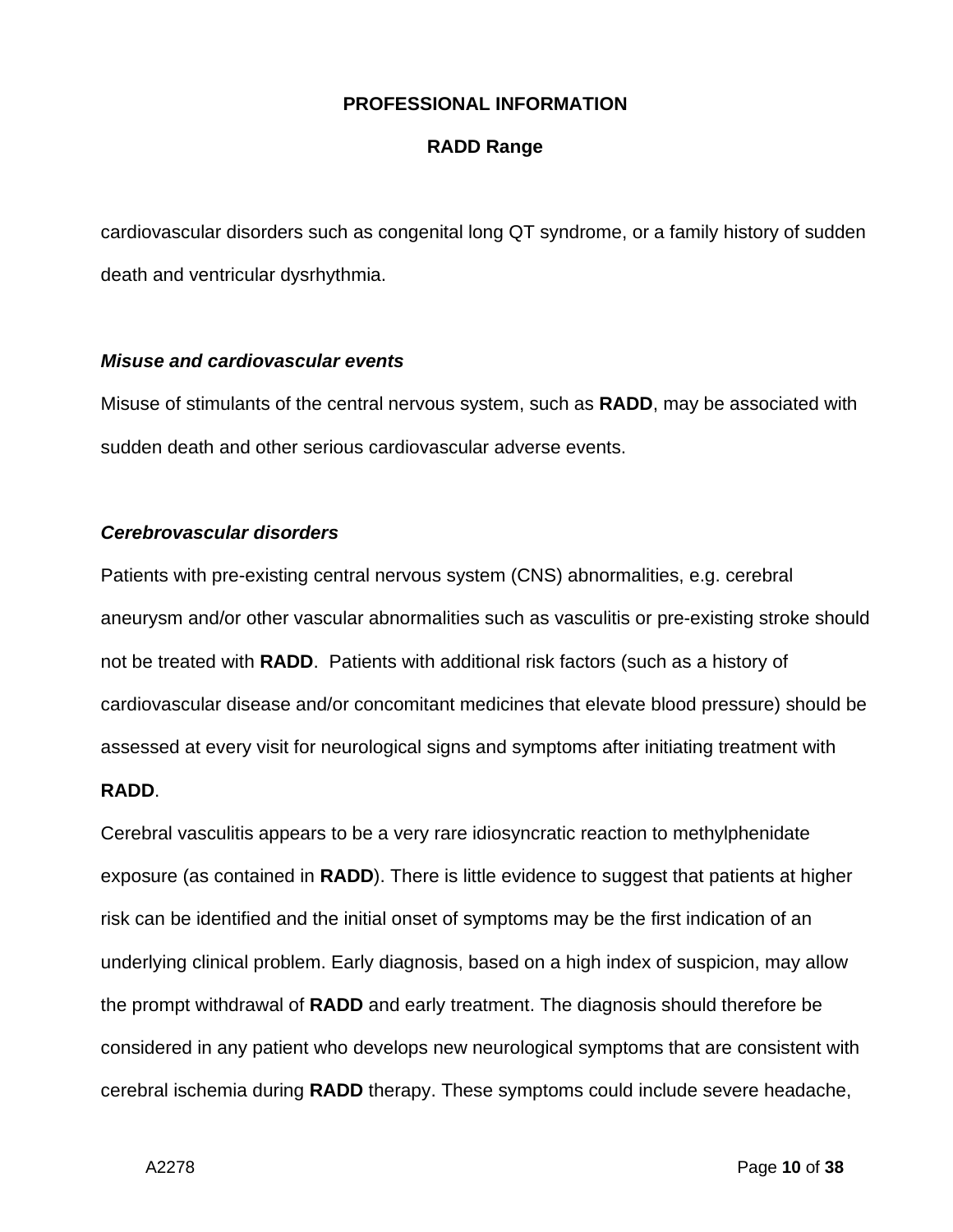#### **RADD Range**

cardiovascular disorders such as congenital long QT syndrome, or a family history of sudden death and ventricular dysrhythmia.

#### *Misuse and cardiovascular events*

Misuse of stimulants of the central nervous system, such as **RADD**, may be associated with sudden death and other serious cardiovascular adverse events.

#### *Cerebrovascular disorders*

Patients with pre-existing central nervous system (CNS) abnormalities, e.g. cerebral aneurysm and/or other vascular abnormalities such as vasculitis or pre-existing stroke should not be treated with **RADD**. Patients with additional risk factors (such as a history of cardiovascular disease and/or concomitant medicines that elevate blood pressure) should be assessed at every visit for neurological signs and symptoms after initiating treatment with

#### **RADD**.

Cerebral vasculitis appears to be a very rare idiosyncratic reaction to methylphenidate exposure (as contained in **RADD**). There is little evidence to suggest that patients at higher risk can be identified and the initial onset of symptoms may be the first indication of an underlying clinical problem. Early diagnosis, based on a high index of suspicion, may allow the prompt withdrawal of **RADD** and early treatment. The diagnosis should therefore be considered in any patient who develops new neurological symptoms that are consistent with cerebral ischemia during **RADD** therapy. These symptoms could include severe headache,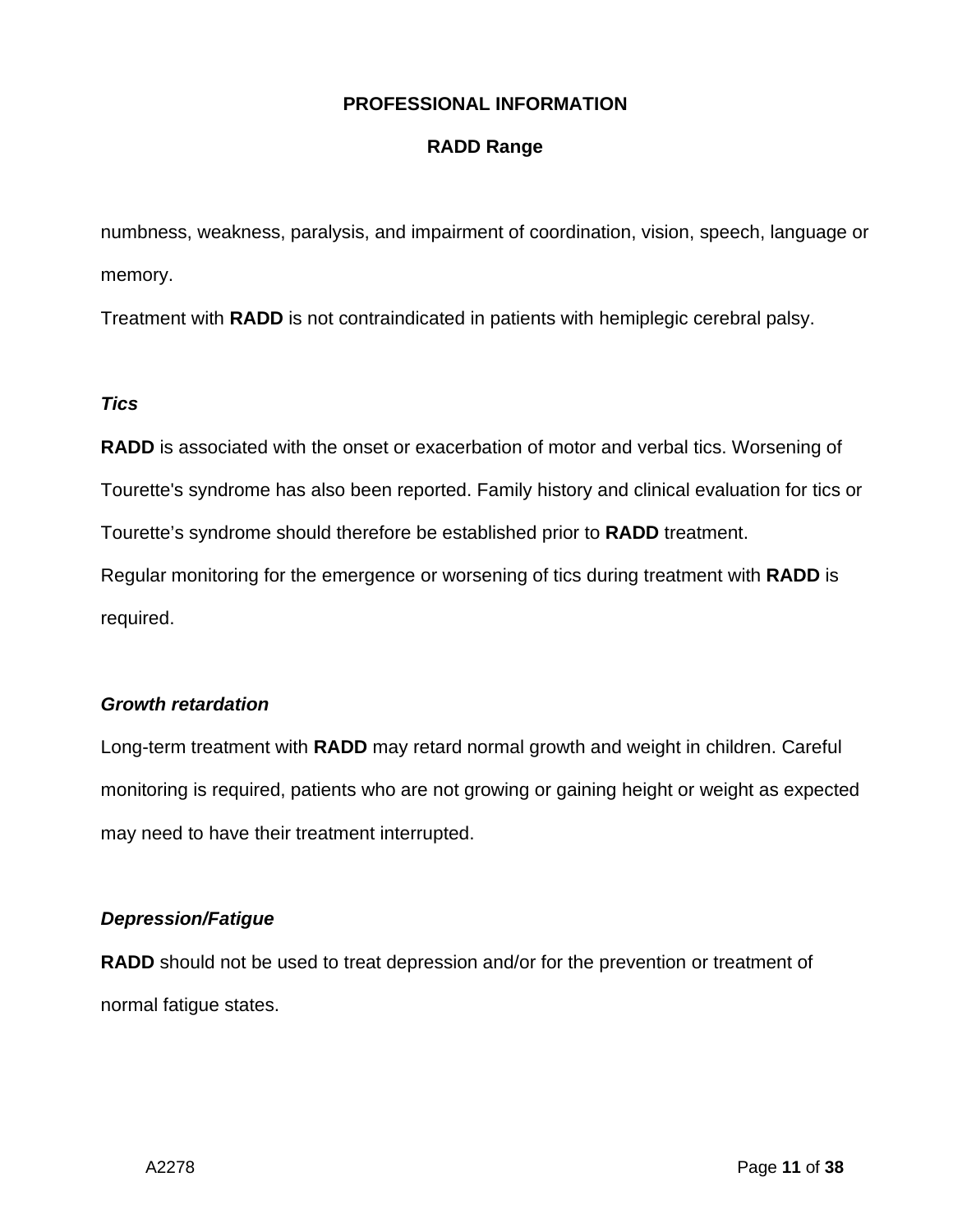## **RADD Range**

numbness, weakness, paralysis, and impairment of coordination, vision, speech, language or memory.

Treatment with **RADD** is not contraindicated in patients with hemiplegic cerebral palsy.

## *Tics*

**RADD** is associated with the onset or exacerbation of motor and verbal tics. Worsening of Tourette's syndrome has also been reported. Family history and clinical evaluation for tics or

Tourette's syndrome should therefore be established prior to **RADD** treatment.

Regular monitoring for the emergence or worsening of tics during treatment with **RADD** is required.

## *Growth retardation*

Long-term treatment with **RADD** may retard normal growth and weight in children. Careful monitoring is required, patients who are not growing or gaining height or weight as expected may need to have their treatment interrupted.

## *Depression/Fatigue*

**RADD** should not be used to treat depression and/or for the prevention or treatment of normal fatigue states.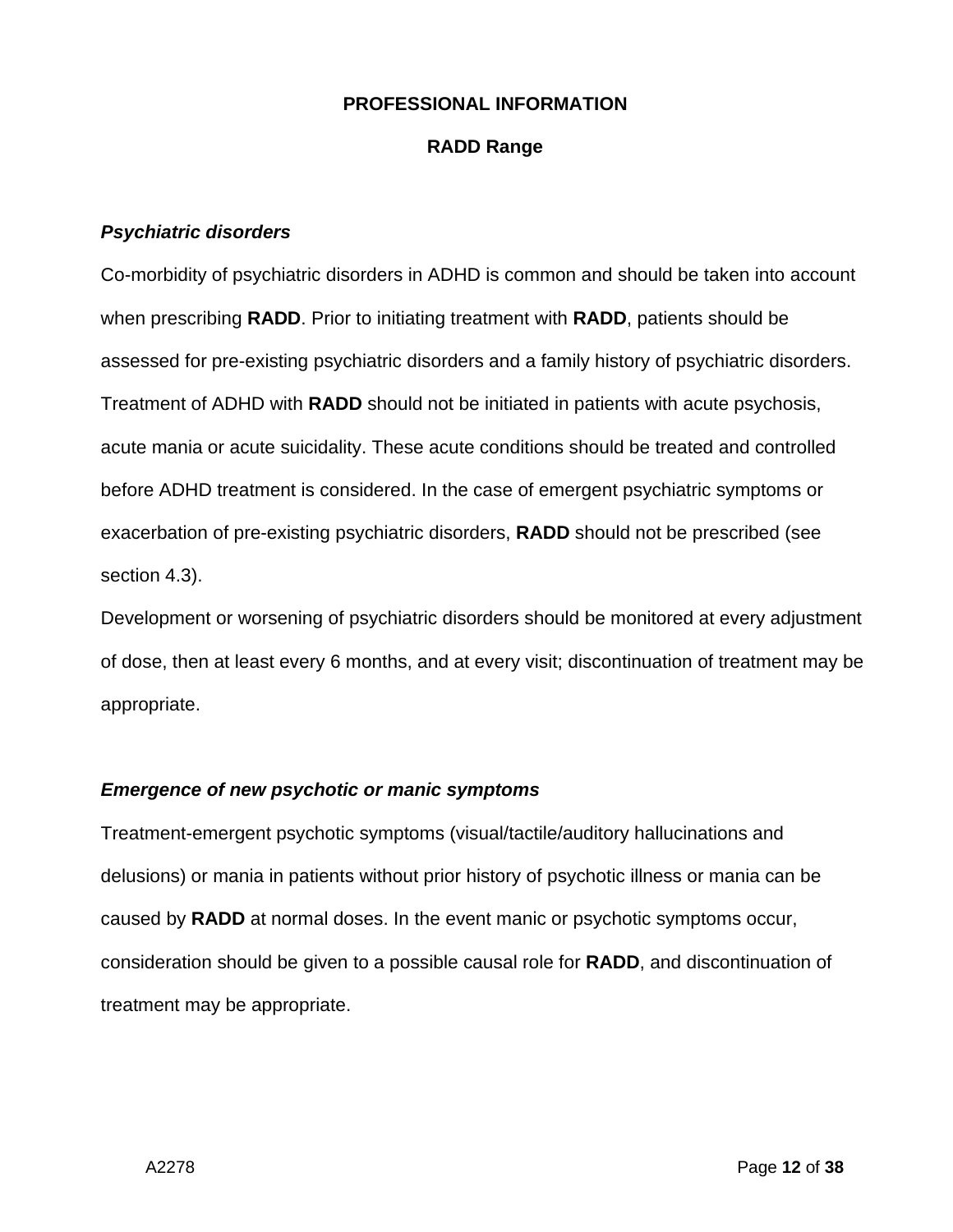#### **RADD Range**

#### *Psychiatric disorders*

Co-morbidity of psychiatric disorders in ADHD is common and should be taken into account when prescribing **RADD**. Prior to initiating treatment with **RADD**, patients should be assessed for pre-existing psychiatric disorders and a family history of psychiatric disorders. Treatment of ADHD with **RADD** should not be initiated in patients with acute psychosis, acute mania or acute suicidality. These acute conditions should be treated and controlled before ADHD treatment is considered. In the case of emergent psychiatric symptoms or exacerbation of pre-existing psychiatric disorders, **RADD** should not be prescribed (see section 4.3).

Development or worsening of psychiatric disorders should be monitored at every adjustment of dose, then at least every 6 months, and at every visit; discontinuation of treatment may be appropriate.

#### *Emergence of new psychotic or manic symptoms*

Treatment-emergent psychotic symptoms (visual/tactile/auditory hallucinations and delusions) or mania in patients without prior history of psychotic illness or mania can be caused by **RADD** at normal doses. In the event manic or psychotic symptoms occur, consideration should be given to a possible causal role for **RADD**, and discontinuation of treatment may be appropriate.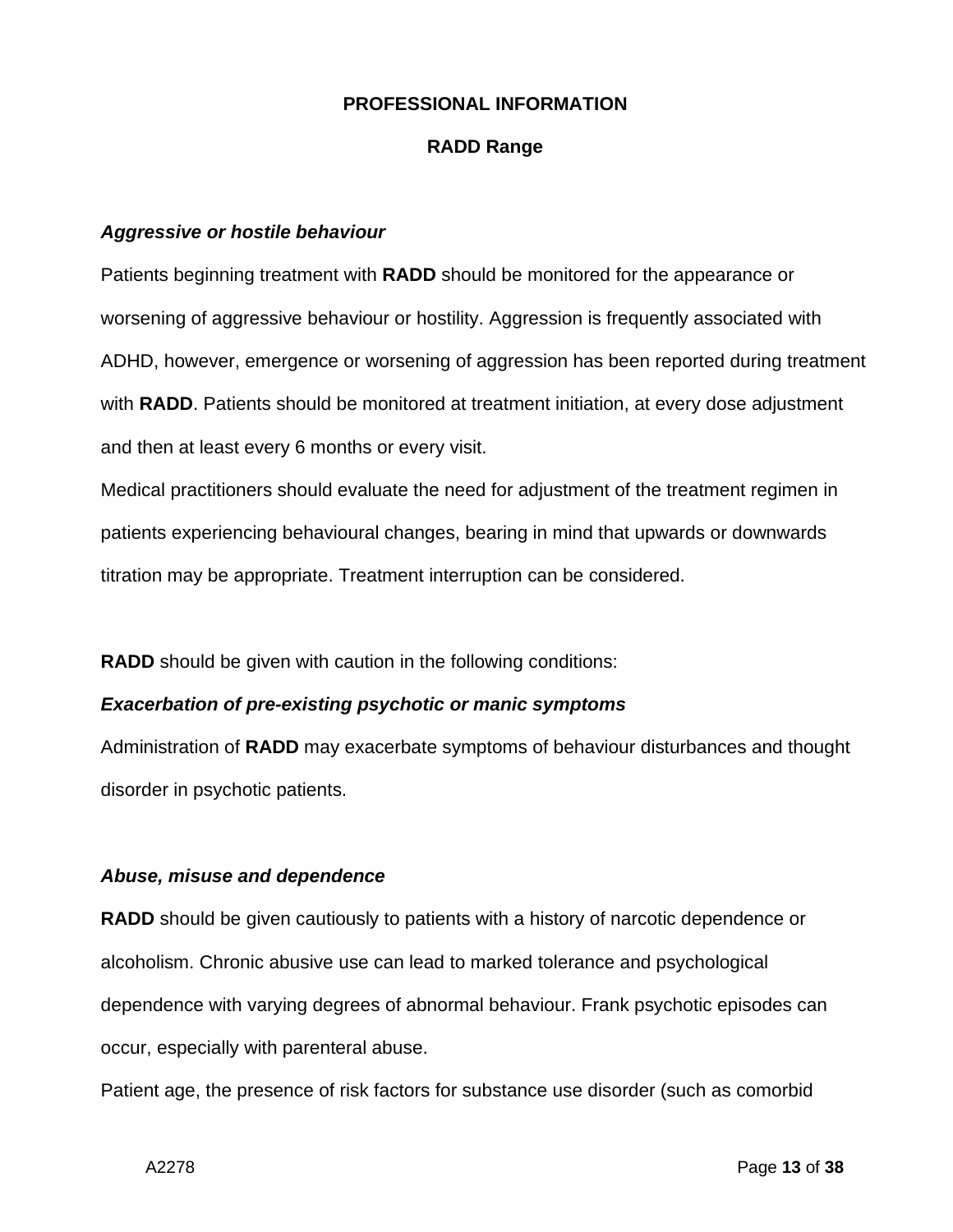#### **RADD Range**

#### *Aggressive or hostile behaviour*

Patients beginning treatment with **RADD** should be monitored for the appearance or worsening of aggressive behaviour or hostility. Aggression is frequently associated with ADHD, however, emergence or worsening of aggression has been reported during treatment with **RADD**. Patients should be monitored at treatment initiation, at every dose adjustment and then at least every 6 months or every visit.

Medical practitioners should evaluate the need for adjustment of the treatment regimen in patients experiencing behavioural changes, bearing in mind that upwards or downwards titration may be appropriate. Treatment interruption can be considered.

**RADD** should be given with caution in the following conditions:

#### *Exacerbation of pre-existing psychotic or manic symptoms*

Administration of **RADD** may exacerbate symptoms of behaviour disturbances and thought disorder in psychotic patients.

#### *Abuse, misuse and dependence*

**RADD** should be given cautiously to patients with a history of narcotic dependence or alcoholism. Chronic abusive use can lead to marked tolerance and psychological dependence with varying degrees of abnormal behaviour. Frank psychotic episodes can occur, especially with parenteral abuse.

Patient age, the presence of risk factors for substance use disorder (such as comorbid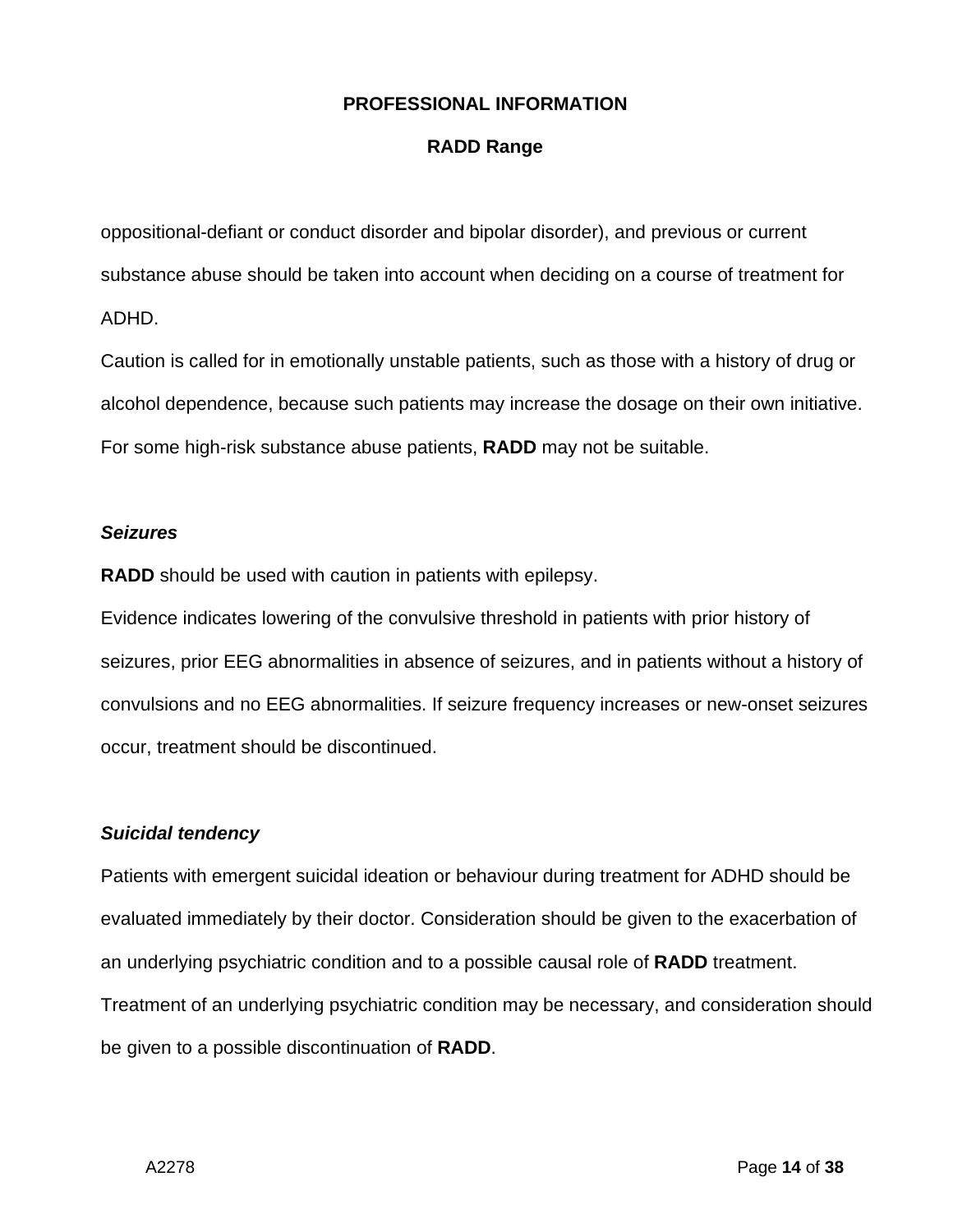## **RADD Range**

oppositional-defiant or conduct disorder and bipolar disorder), and previous or current substance abuse should be taken into account when deciding on a course of treatment for ADHD.

Caution is called for in emotionally unstable patients, such as those with a history of drug or alcohol dependence, because such patients may increase the dosage on their own initiative. For some high-risk substance abuse patients, **RADD** may not be suitable.

#### *Seizures*

**RADD** should be used with caution in patients with epilepsy.

Evidence indicates lowering of the convulsive threshold in patients with prior history of seizures, prior EEG abnormalities in absence of seizures, and in patients without a history of convulsions and no EEG abnormalities. If seizure frequency increases or new-onset seizures occur, treatment should be discontinued.

## *Suicidal tendency*

Patients with emergent suicidal ideation or behaviour during treatment for ADHD should be evaluated immediately by their doctor. Consideration should be given to the exacerbation of an underlying psychiatric condition and to a possible causal role of **RADD** treatment. Treatment of an underlying psychiatric condition may be necessary, and consideration should be given to a possible discontinuation of **RADD**.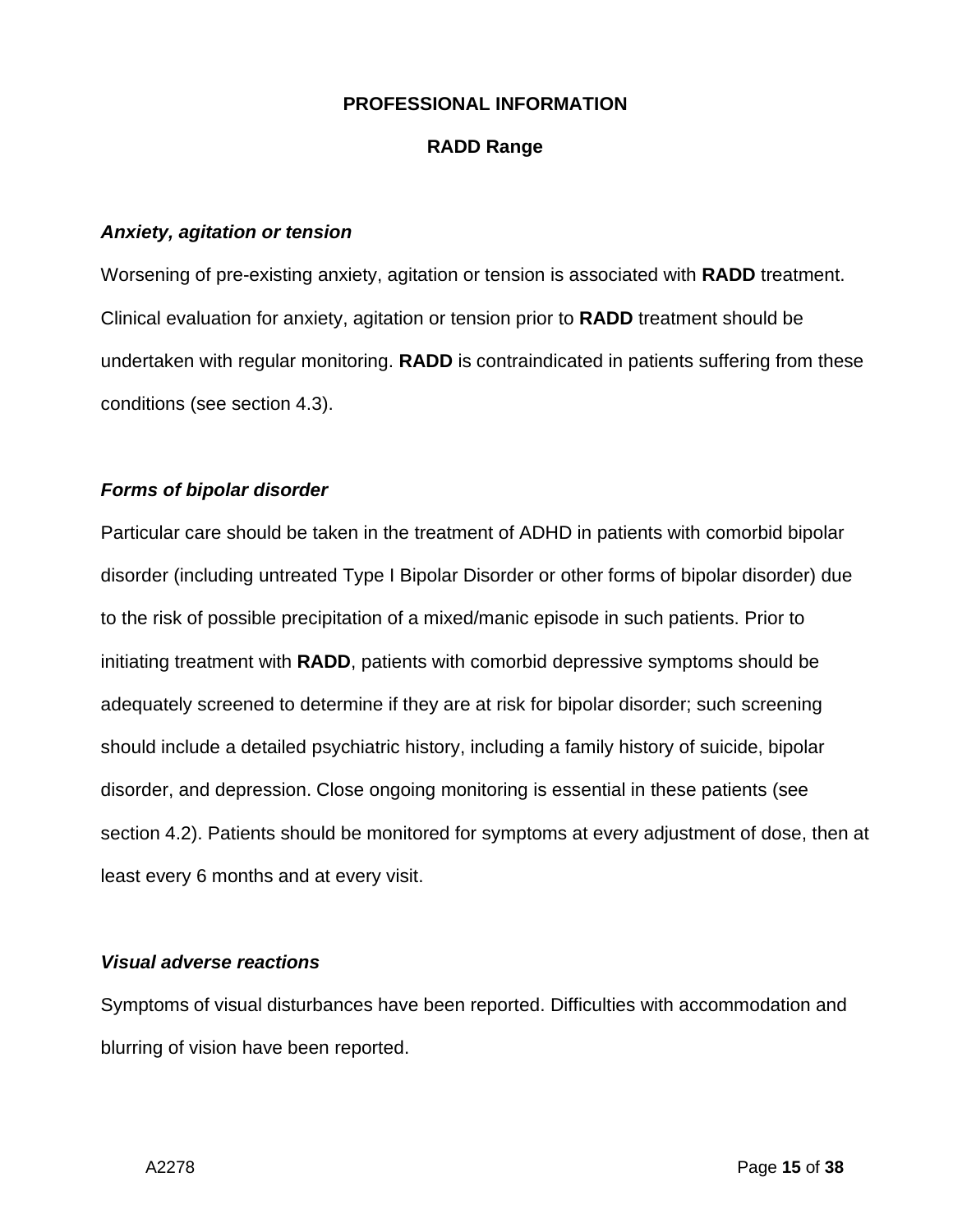#### **RADD Range**

#### *Anxiety, agitation or tension*

Worsening of pre-existing anxiety, agitation or tension is associated with **RADD** treatment. Clinical evaluation for anxiety, agitation or tension prior to **RADD** treatment should be undertaken with regular monitoring. **RADD** is contraindicated in patients suffering from these conditions (see section 4.3).

#### *Forms of bipolar disorder*

Particular care should be taken in the treatment of ADHD in patients with comorbid bipolar disorder (including untreated Type I Bipolar Disorder or other forms of bipolar disorder) due to the risk of possible precipitation of a mixed/manic episode in such patients. Prior to initiating treatment with **RADD**, patients with comorbid depressive symptoms should be adequately screened to determine if they are at risk for bipolar disorder; such screening should include a detailed psychiatric history, including a family history of suicide, bipolar disorder, and depression. Close ongoing monitoring is essential in these patients (see section 4.2). Patients should be monitored for symptoms at every adjustment of dose, then at least every 6 months and at every visit.

#### *Visual adverse reactions*

Symptoms of visual disturbances have been reported. Difficulties with accommodation and blurring of vision have been reported.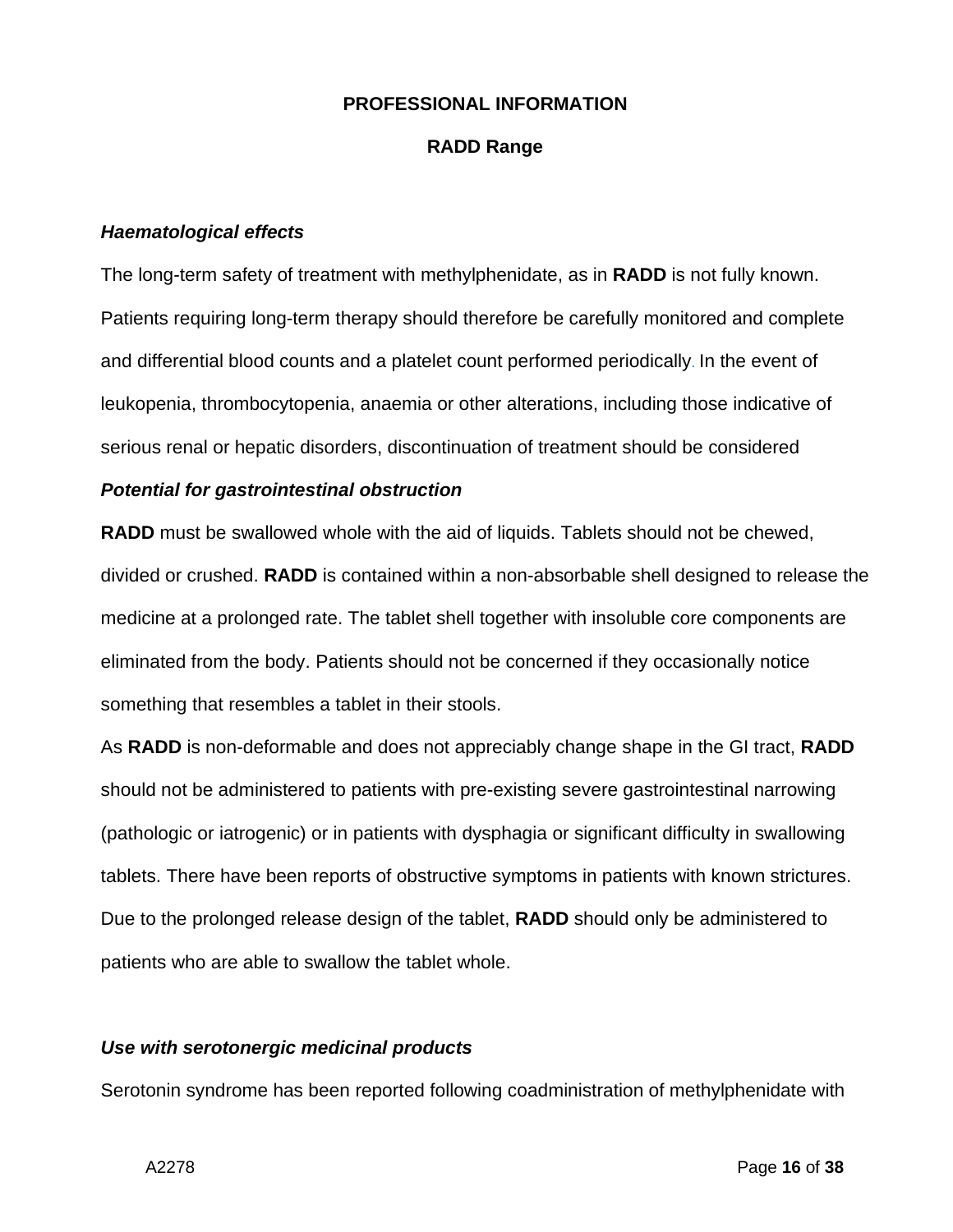#### **RADD Range**

#### *Haematological effects*

The long-term safety of treatment with methylphenidate, as in **RADD** is not fully known. Patients requiring long-term therapy should therefore be carefully monitored and complete and differential blood counts and a platelet count performed periodically. In the event of leukopenia, thrombocytopenia, anaemia or other alterations, including those indicative of serious renal or hepatic disorders, discontinuation of treatment should be considered

#### *Potential for gastrointestinal obstruction*

**RADD** must be swallowed whole with the aid of liquids. Tablets should not be chewed, divided or crushed. **RADD** is contained within a non-absorbable shell designed to release the medicine at a prolonged rate. The tablet shell together with insoluble core components are eliminated from the body. Patients should not be concerned if they occasionally notice something that resembles a tablet in their stools.

As **RADD** is non-deformable and does not appreciably change shape in the GI tract, **RADD** should not be administered to patients with pre-existing severe gastrointestinal narrowing (pathologic or iatrogenic) or in patients with dysphagia or significant difficulty in swallowing tablets. There have been reports of obstructive symptoms in patients with known strictures. Due to the prolonged release design of the tablet, **RADD** should only be administered to patients who are able to swallow the tablet whole.

#### *Use with serotonergic medicinal products*

Serotonin syndrome has been reported following coadministration of methylphenidate with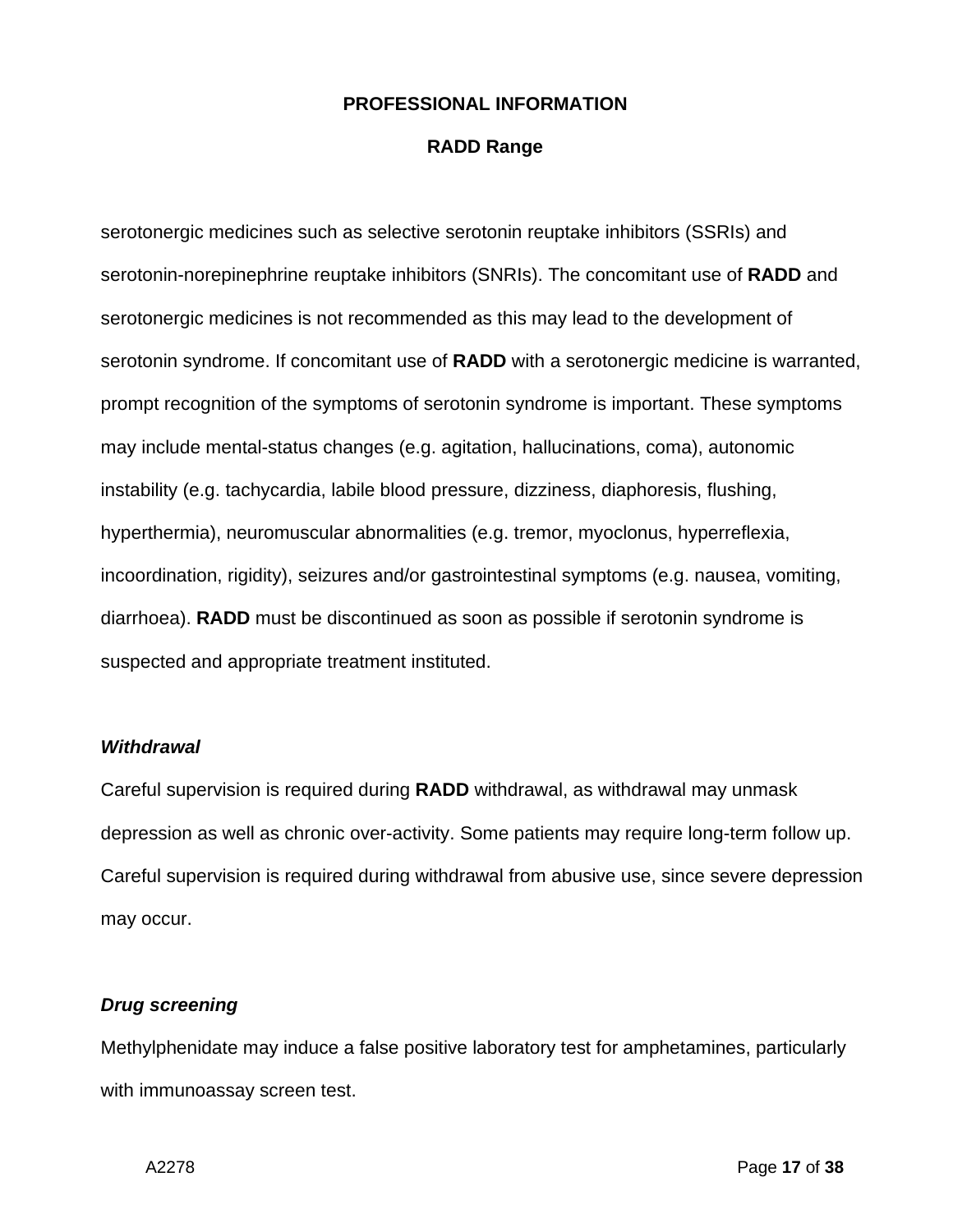#### **RADD Range**

serotonergic medicines such as selective serotonin reuptake inhibitors (SSRIs) and serotonin-norepinephrine reuptake inhibitors (SNRIs). The concomitant use of **RADD** and serotonergic medicines is not recommended as this may lead to the development of serotonin syndrome. If concomitant use of **RADD** with a serotonergic medicine is warranted, prompt recognition of the symptoms of serotonin syndrome is important. These symptoms may include mental-status changes (e.g. agitation, hallucinations, coma), autonomic instability (e.g. tachycardia, labile blood pressure, dizziness, diaphoresis, flushing, hyperthermia), neuromuscular abnormalities (e.g. tremor, myoclonus, hyperreflexia, incoordination, rigidity), seizures and/or gastrointestinal symptoms (e.g. nausea, vomiting, diarrhoea). **RADD** must be discontinued as soon as possible if serotonin syndrome is suspected and appropriate treatment instituted.

#### *Withdrawal*

Careful supervision is required during **RADD** withdrawal, as withdrawal may unmask depression as well as chronic over-activity. Some patients may require long-term follow up. Careful supervision is required during withdrawal from abusive use, since severe depression may occur.

#### *Drug screening*

Methylphenidate may induce a false positive laboratory test for amphetamines, particularly with immunoassay screen test.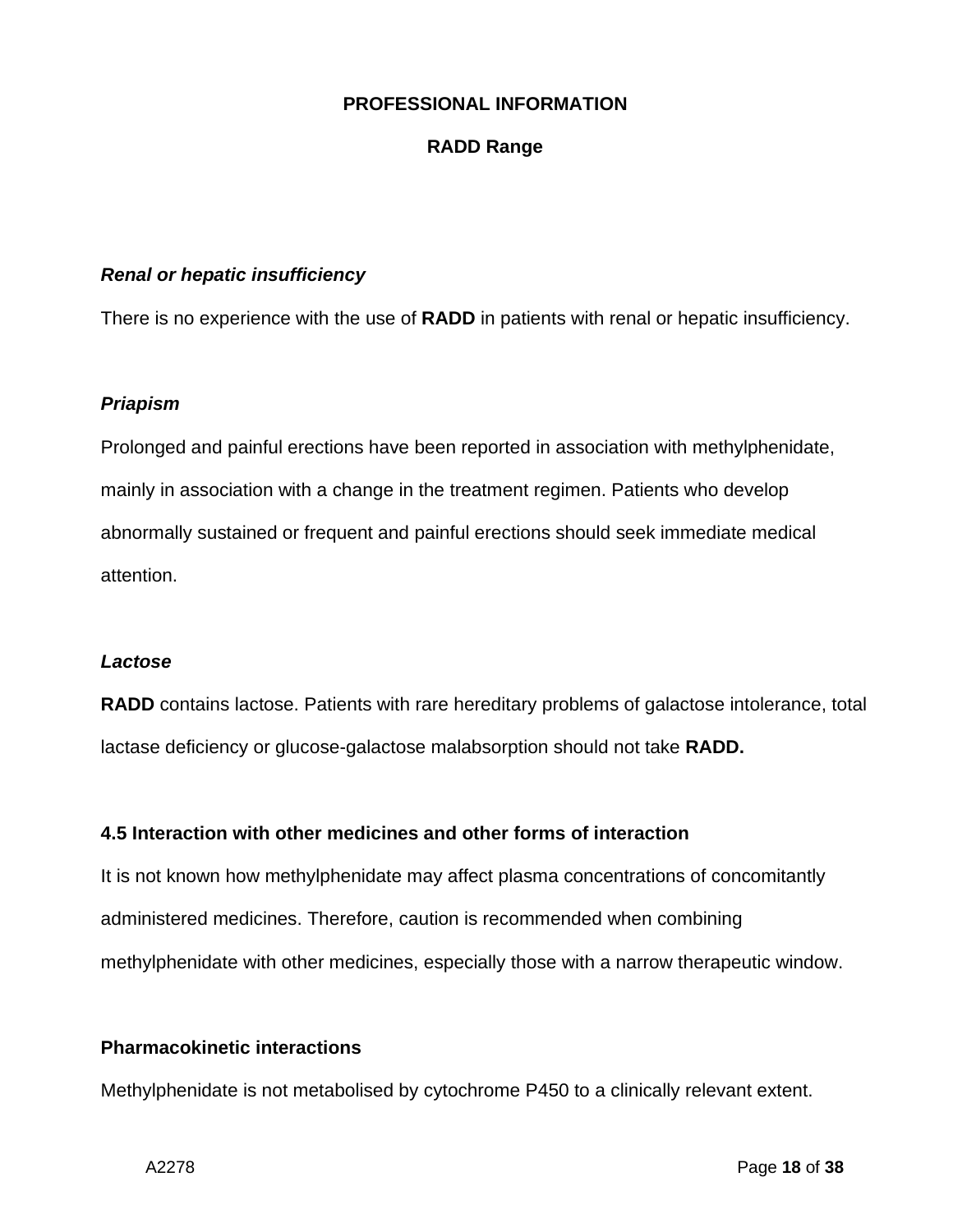## **RADD Range**

#### *Renal or hepatic insufficiency*

There is no experience with the use of **RADD** in patients with renal or hepatic insufficiency.

#### *Priapism*

Prolonged and painful erections have been reported in association with methylphenidate, mainly in association with a change in the treatment regimen. Patients who develop abnormally sustained or frequent and painful erections should seek immediate medical attention.

#### *Lactose*

**RADD** contains lactose. Patients with rare hereditary problems of galactose intolerance, total lactase deficiency or glucose-galactose malabsorption should not take **RADD.**

#### **4.5 Interaction with other medicines and other forms of interaction**

It is not known how methylphenidate may affect plasma concentrations of concomitantly administered medicines. Therefore, caution is recommended when combining methylphenidate with other medicines, especially those with a narrow therapeutic window.

## **Pharmacokinetic interactions**

Methylphenidate is not metabolised by cytochrome P450 to a clinically relevant extent.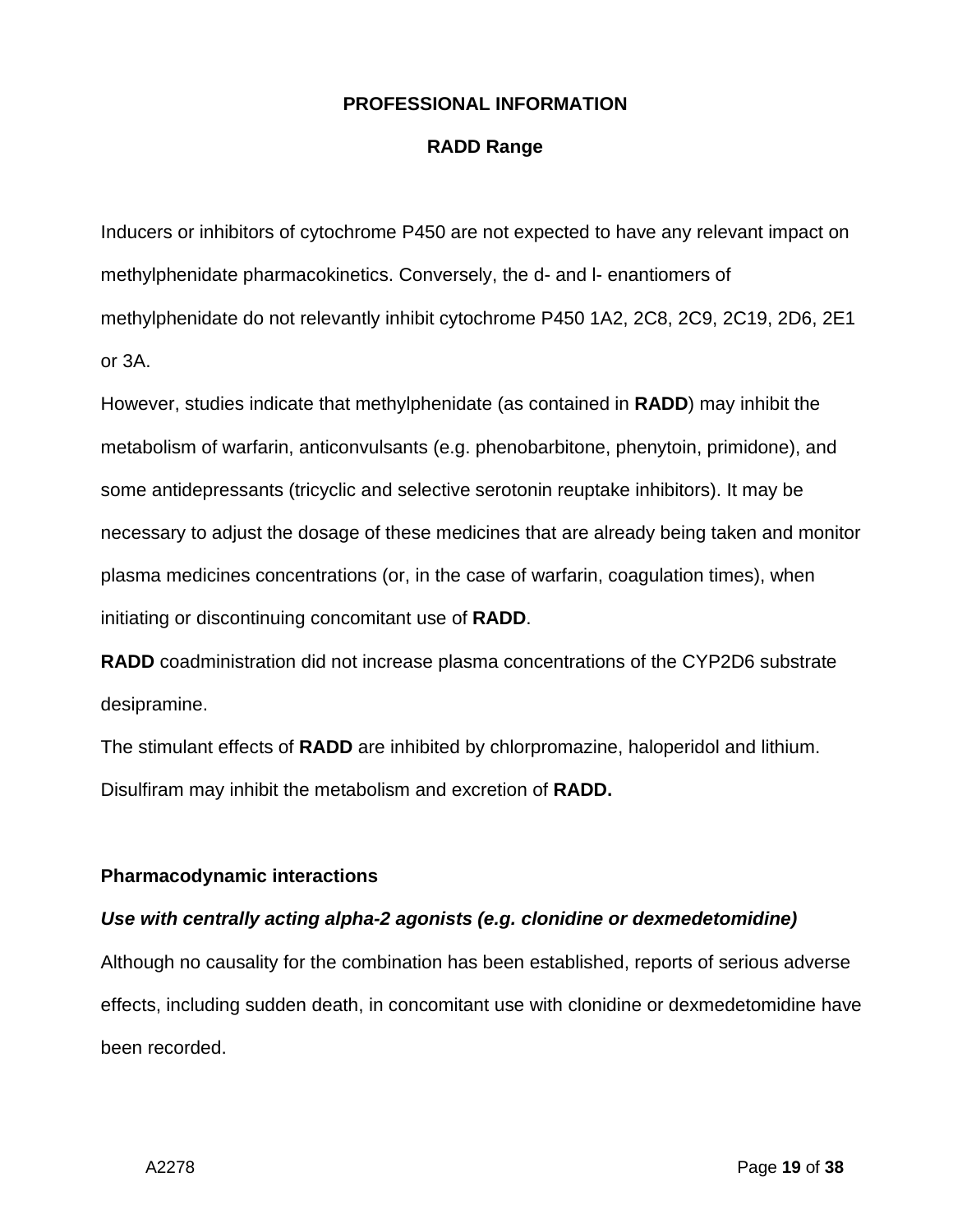#### **RADD Range**

Inducers or inhibitors of cytochrome P450 are not expected to have any relevant impact on methylphenidate pharmacokinetics. Conversely, the d- and l- enantiomers of methylphenidate do not relevantly inhibit cytochrome P450 1A2, 2C8, 2C9, 2C19, 2D6, 2E1 or 3A.

However, studies indicate that methylphenidate (as contained in **RADD**) may inhibit the metabolism of warfarin, anticonvulsants (e.g. phenobarbitone, phenytoin, primidone), and some antidepressants (tricyclic and selective serotonin reuptake inhibitors). It may be necessary to adjust the dosage of these medicines that are already being taken and monitor plasma medicines concentrations (or, in the case of warfarin, coagulation times), when initiating or discontinuing concomitant use of **RADD**.

**RADD** coadministration did not increase plasma concentrations of the CYP2D6 substrate desipramine.

The stimulant effects of **RADD** are inhibited by chlorpromazine, haloperidol and lithium. Disulfiram may inhibit the metabolism and excretion of **RADD.**

#### **Pharmacodynamic interactions**

#### *Use with centrally acting alpha-2 agonists (e.g. clonidine or dexmedetomidine)*

Although no causality for the combination has been established, reports of serious adverse effects, including sudden death, in concomitant use with clonidine or dexmedetomidine have been recorded.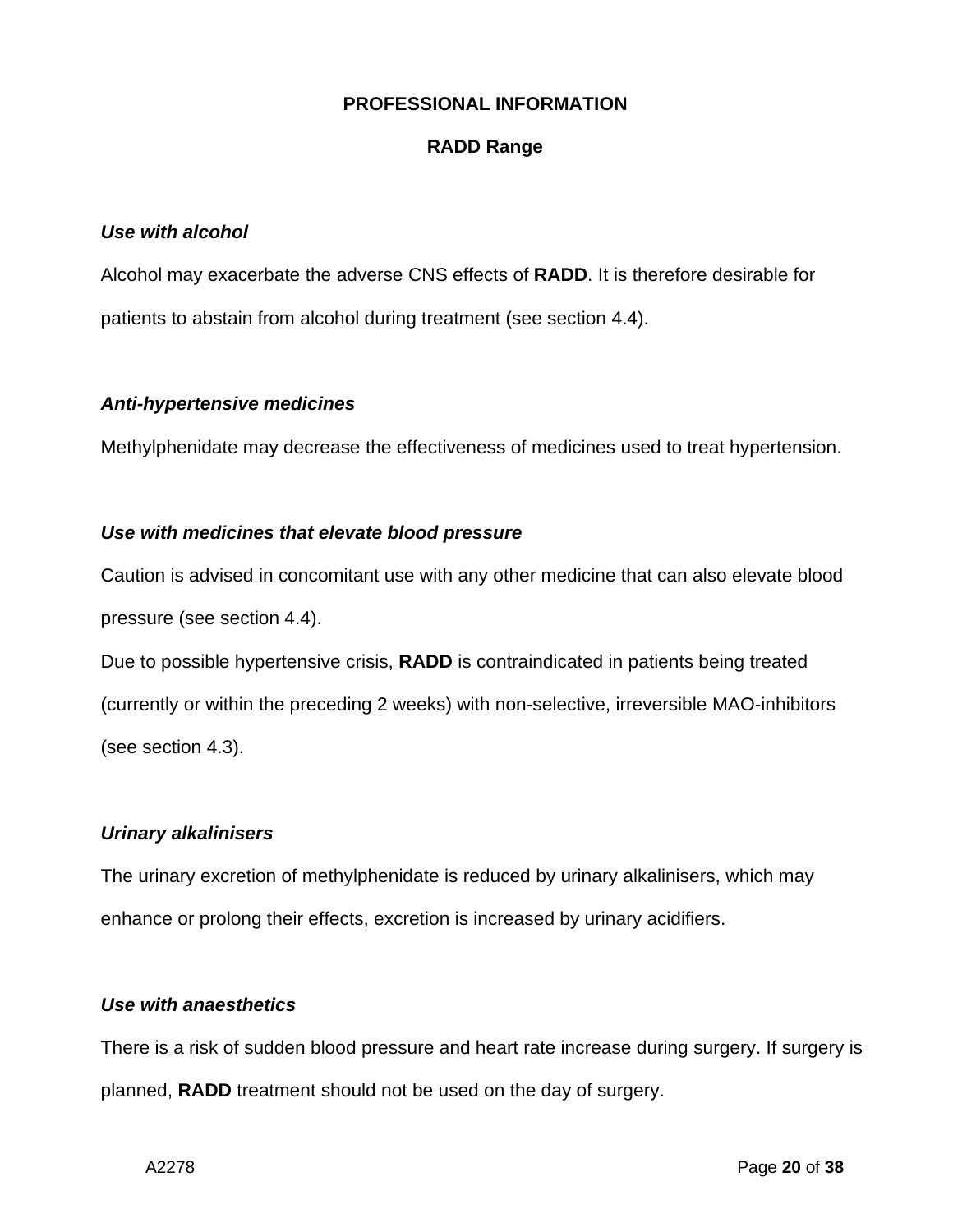#### **RADD Range**

#### *Use with alcohol*

Alcohol may exacerbate the adverse CNS effects of **RADD**. It is therefore desirable for patients to abstain from alcohol during treatment (see section 4.4).

#### *Anti-hypertensive medicines*

Methylphenidate may decrease the effectiveness of medicines used to treat hypertension.

#### *Use with medicines that elevate blood pressure*

Caution is advised in concomitant use with any other medicine that can also elevate blood pressure (see section 4.4).

Due to possible hypertensive crisis, **RADD** is contraindicated in patients being treated (currently or within the preceding 2 weeks) with non-selective, irreversible MAO-inhibitors (see section 4.3).

## *Urinary alkalinisers*

The urinary excretion of methylphenidate is reduced by urinary alkalinisers, which may enhance or prolong their effects, excretion is increased by urinary acidifiers.

#### *Use with anaesthetics*

There is a risk of sudden blood pressure and heart rate increase during surgery. If surgery is planned, **RADD** treatment should not be used on the day of surgery.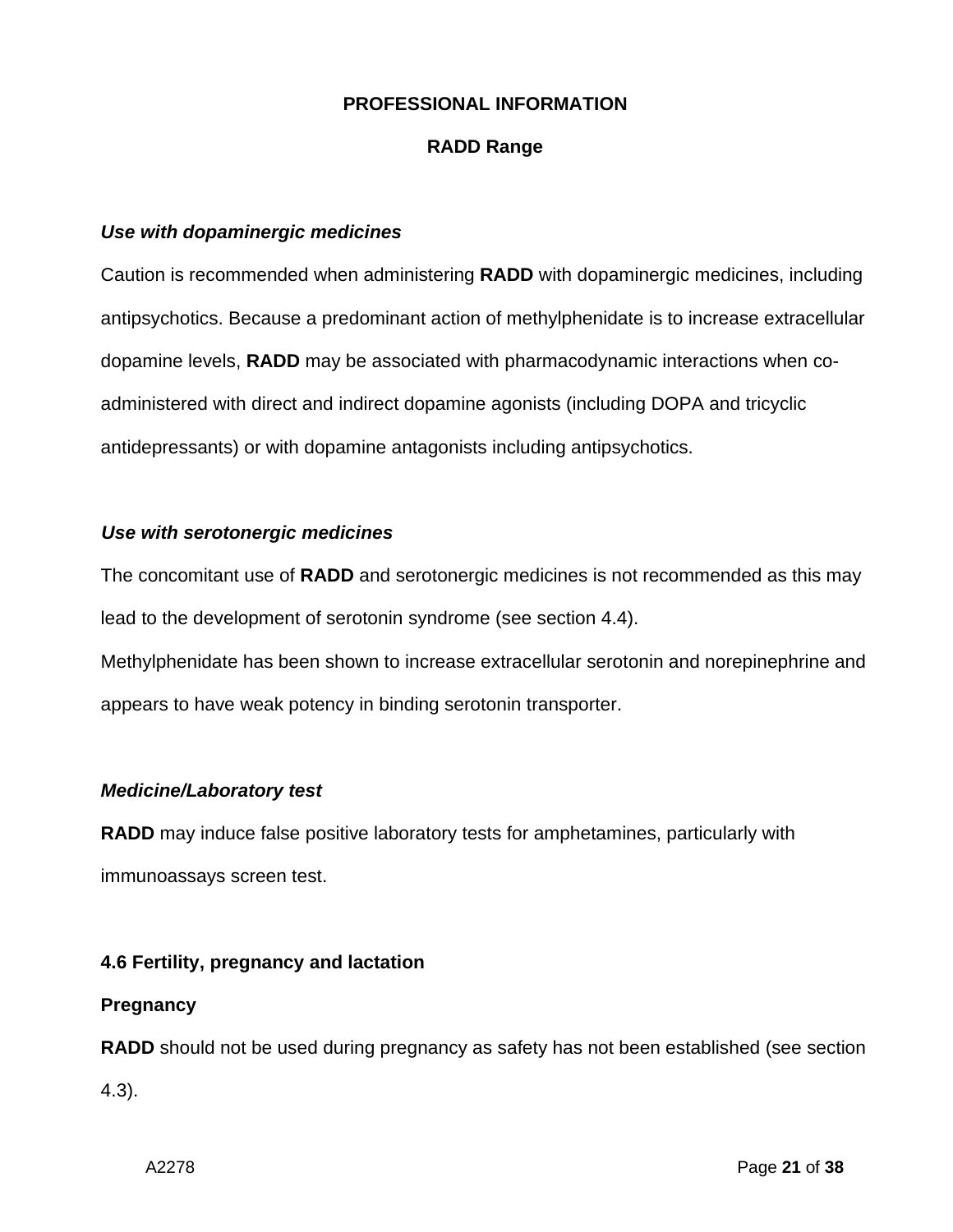## **RADD Range**

#### *Use with dopaminergic medicines*

Caution is recommended when administering **RADD** with dopaminergic medicines, including antipsychotics. Because a predominant action of methylphenidate is to increase extracellular dopamine levels, **RADD** may be associated with pharmacodynamic interactions when coadministered with direct and indirect dopamine agonists (including DOPA and tricyclic antidepressants) or with dopamine antagonists including antipsychotics.

#### *Use with serotonergic medicines*

The concomitant use of **RADD** and serotonergic medicines is not recommended as this may lead to the development of serotonin syndrome (see section 4.4). Methylphenidate has been shown to increase extracellular serotonin and norepinephrine and appears to have weak potency in binding serotonin transporter.

## *Medicine/Laboratory test*

**RADD** may induce false positive laboratory tests for amphetamines, particularly with immunoassays screen test.

## **4.6 Fertility, pregnancy and lactation**

## **Pregnancy**

**RADD** should not be used during pregnancy as safety has not been established (see section 4.3).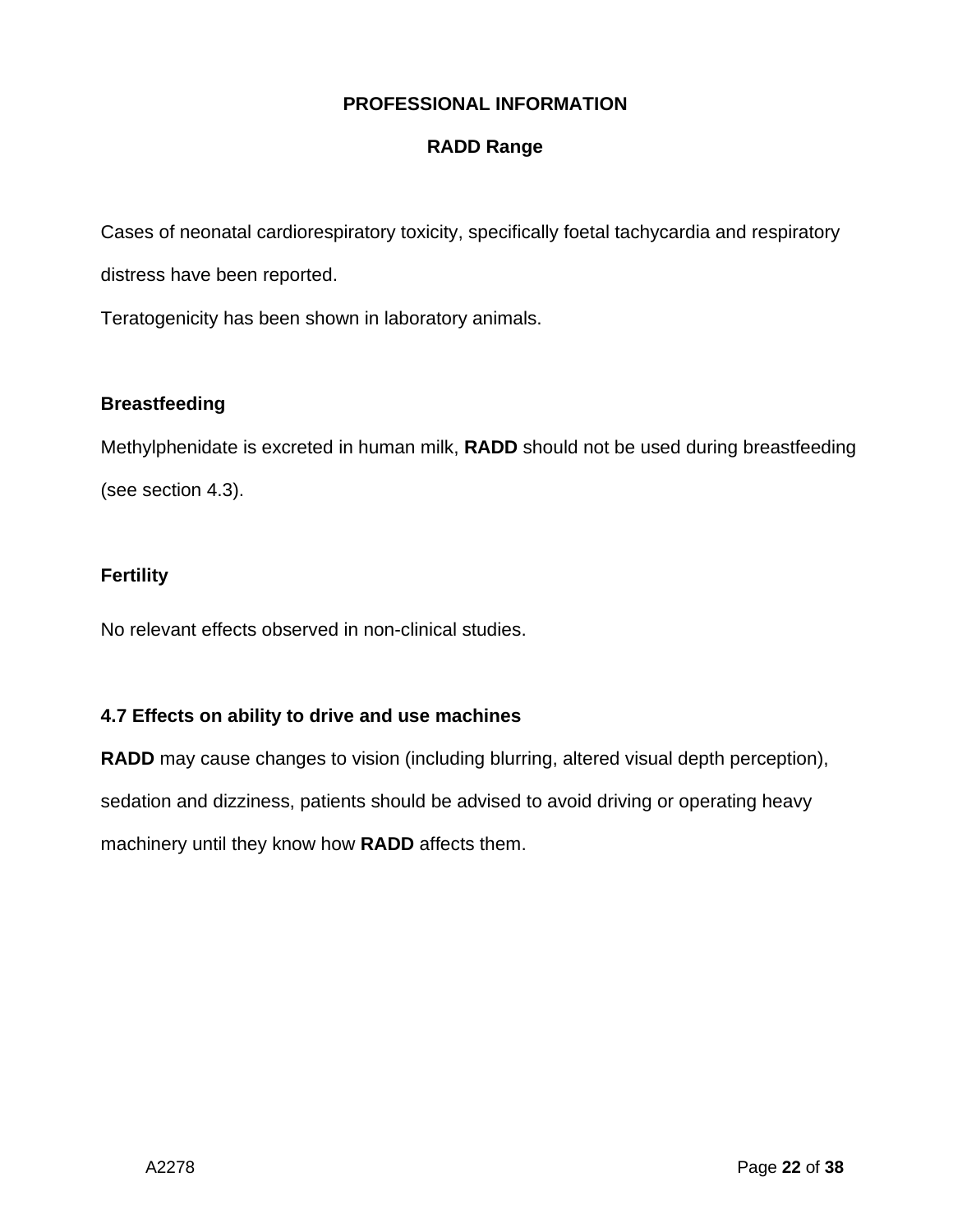## **RADD Range**

Cases of neonatal cardiorespiratory toxicity, specifically foetal tachycardia and respiratory

distress have been reported.

Teratogenicity has been shown in laboratory animals.

## **Breastfeeding**

Methylphenidate is excreted in human milk, **RADD** should not be used during breastfeeding (see section 4.3).

## **Fertility**

No relevant effects observed in non-clinical studies.

## **4.7 Effects on ability to drive and use machines**

**RADD** may cause changes to vision (including blurring, altered visual depth perception), sedation and dizziness, patients should be advised to avoid driving or operating heavy machinery until they know how **RADD** affects them.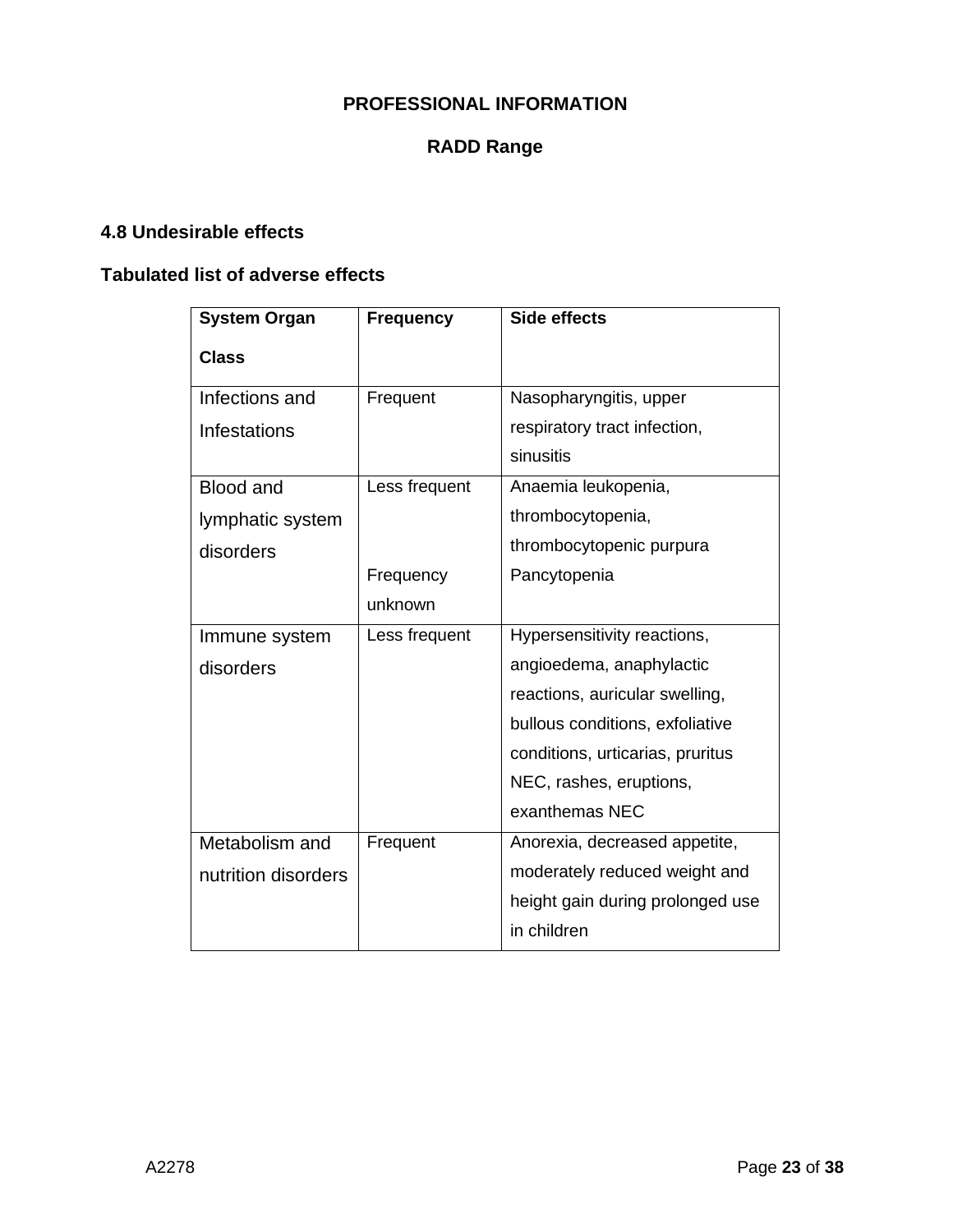## **RADD Range**

## **4.8 Undesirable effects**

## **Tabulated list of adverse effects**

| <b>System Organ</b> | <b>Frequency</b> | Side effects                     |
|---------------------|------------------|----------------------------------|
| <b>Class</b>        |                  |                                  |
| Infections and      | Frequent         | Nasopharyngitis, upper           |
| Infestations        |                  | respiratory tract infection,     |
|                     |                  | sinusitis                        |
| <b>Blood and</b>    | Less frequent    | Anaemia leukopenia,              |
| lymphatic system    |                  | thrombocytopenia,                |
| disorders           |                  | thrombocytopenic purpura         |
|                     | Frequency        | Pancytopenia                     |
|                     | unknown          |                                  |
| Immune system       | Less frequent    | Hypersensitivity reactions,      |
| disorders           |                  | angioedema, anaphylactic         |
|                     |                  | reactions, auricular swelling,   |
|                     |                  | bullous conditions, exfoliative  |
|                     |                  | conditions, urticarias, pruritus |
|                     |                  | NEC, rashes, eruptions,          |
|                     |                  | exanthemas NEC                   |
| Metabolism and      | Frequent         | Anorexia, decreased appetite,    |
| nutrition disorders |                  | moderately reduced weight and    |
|                     |                  | height gain during prolonged use |
|                     |                  | in children                      |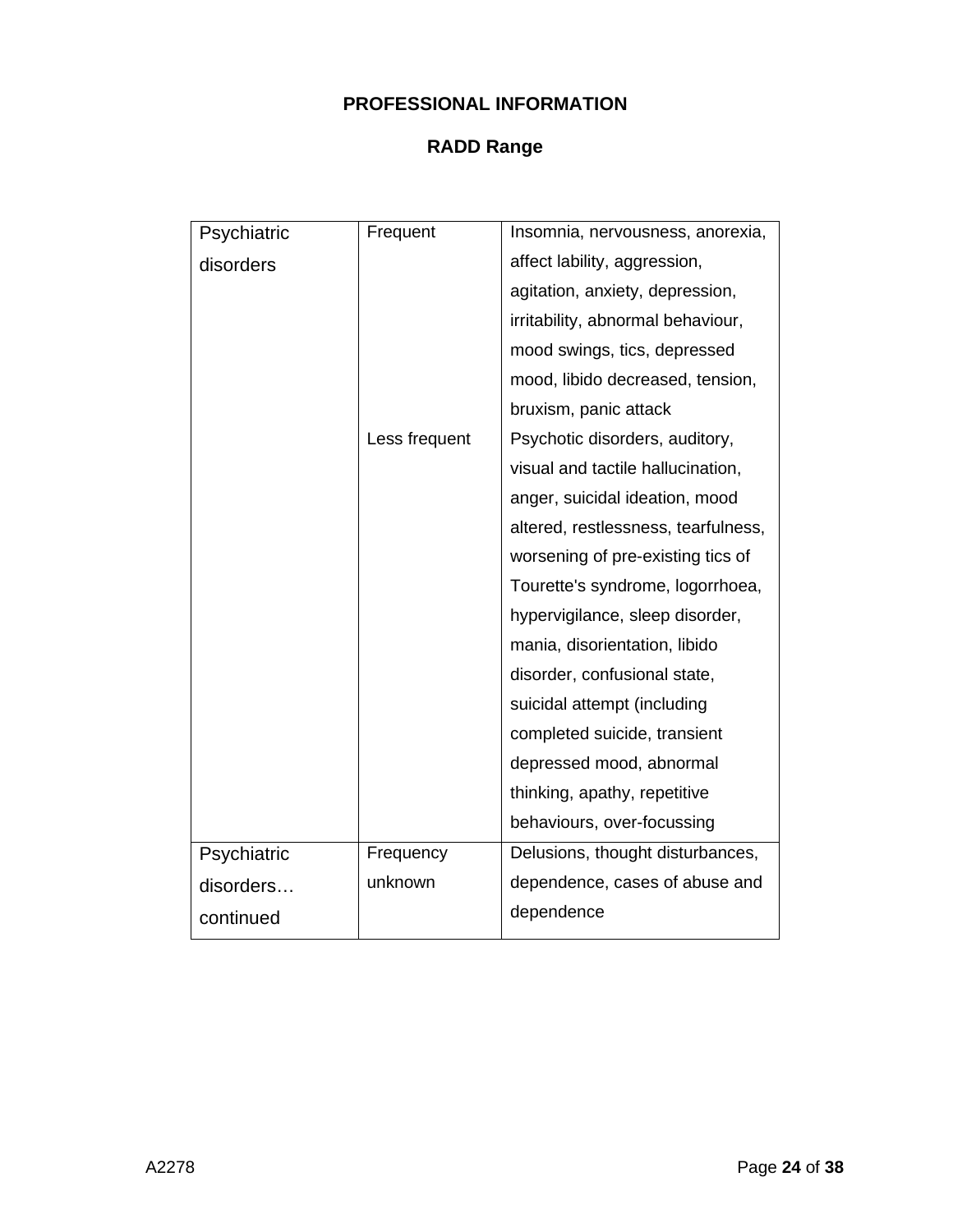| Psychiatric | Frequent      | Insomnia, nervousness, anorexia,    |
|-------------|---------------|-------------------------------------|
| disorders   |               | affect lability, aggression,        |
|             |               | agitation, anxiety, depression,     |
|             |               | irritability, abnormal behaviour,   |
|             |               | mood swings, tics, depressed        |
|             |               | mood, libido decreased, tension,    |
|             |               | bruxism, panic attack               |
|             | Less frequent | Psychotic disorders, auditory,      |
|             |               | visual and tactile hallucination,   |
|             |               | anger, suicidal ideation, mood      |
|             |               | altered, restlessness, tearfulness, |
|             |               | worsening of pre-existing tics of   |
|             |               | Tourette's syndrome, logorrhoea,    |
|             |               | hypervigilance, sleep disorder,     |
|             |               | mania, disorientation, libido       |
|             |               | disorder, confusional state,        |
|             |               | suicidal attempt (including         |
|             |               | completed suicide, transient        |
|             |               | depressed mood, abnormal            |
|             |               | thinking, apathy, repetitive        |
|             |               | behaviours, over-focussing          |
| Psychiatric | Frequency     | Delusions, thought disturbances,    |
| disorders   | unknown       | dependence, cases of abuse and      |
| continued   |               | dependence                          |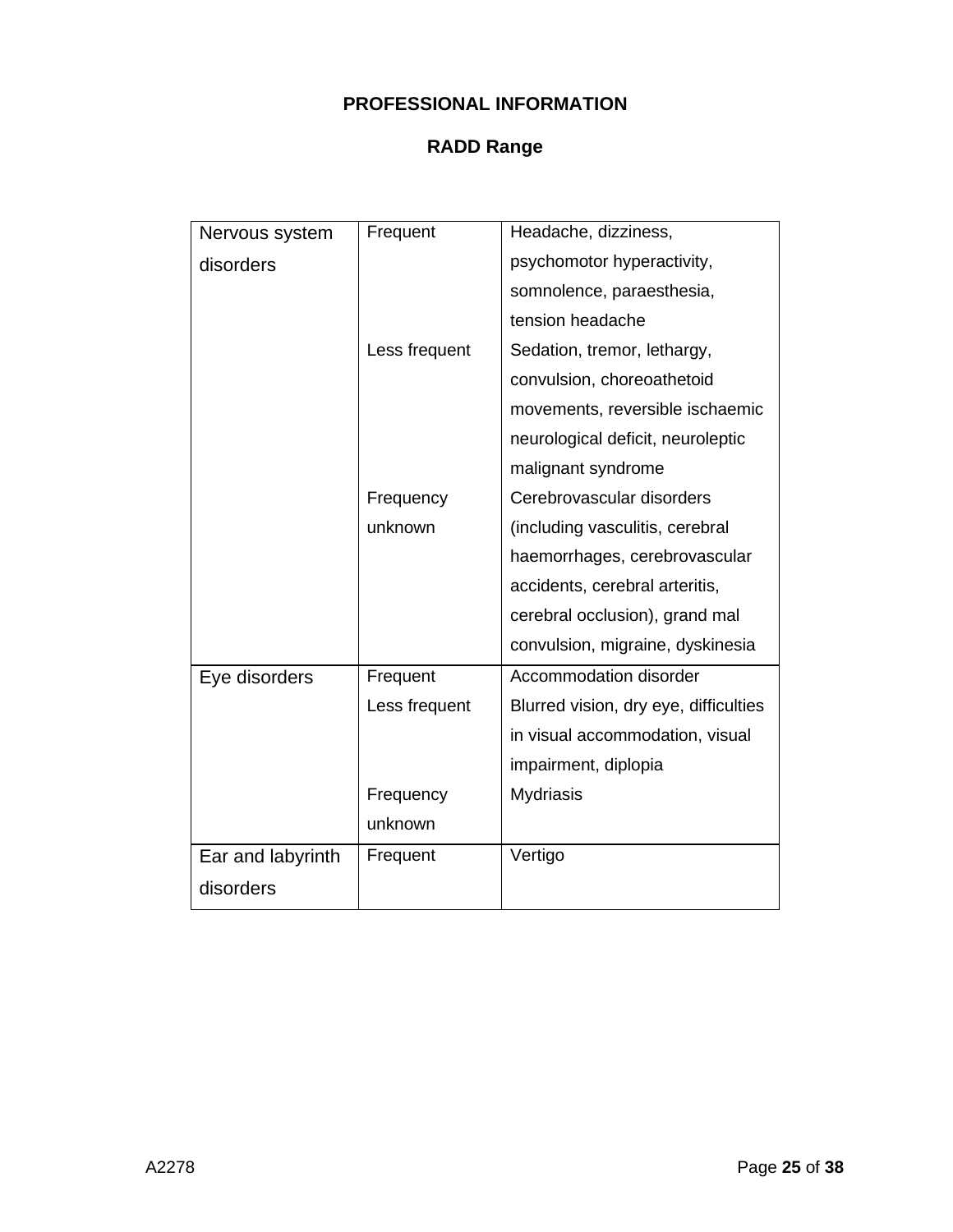| Nervous system    | Frequent      | Headache, dizziness,                  |
|-------------------|---------------|---------------------------------------|
| disorders         |               | psychomotor hyperactivity,            |
|                   |               | somnolence, paraesthesia,             |
|                   |               | tension headache                      |
|                   | Less frequent | Sedation, tremor, lethargy,           |
|                   |               | convulsion, choreoathetoid            |
|                   |               | movements, reversible ischaemic       |
|                   |               | neurological deficit, neuroleptic     |
|                   |               | malignant syndrome                    |
|                   | Frequency     | Cerebrovascular disorders             |
|                   | unknown       | (including vasculitis, cerebral       |
|                   |               | haemorrhages, cerebrovascular         |
|                   |               | accidents, cerebral arteritis,        |
|                   |               | cerebral occlusion), grand mal        |
|                   |               | convulsion, migraine, dyskinesia      |
| Eye disorders     | Frequent      | Accommodation disorder                |
|                   | Less frequent | Blurred vision, dry eye, difficulties |
|                   |               | in visual accommodation, visual       |
|                   |               | impairment, diplopia                  |
|                   | Frequency     | <b>Mydriasis</b>                      |
|                   | unknown       |                                       |
| Ear and labyrinth | Frequent      | Vertigo                               |
| disorders         |               |                                       |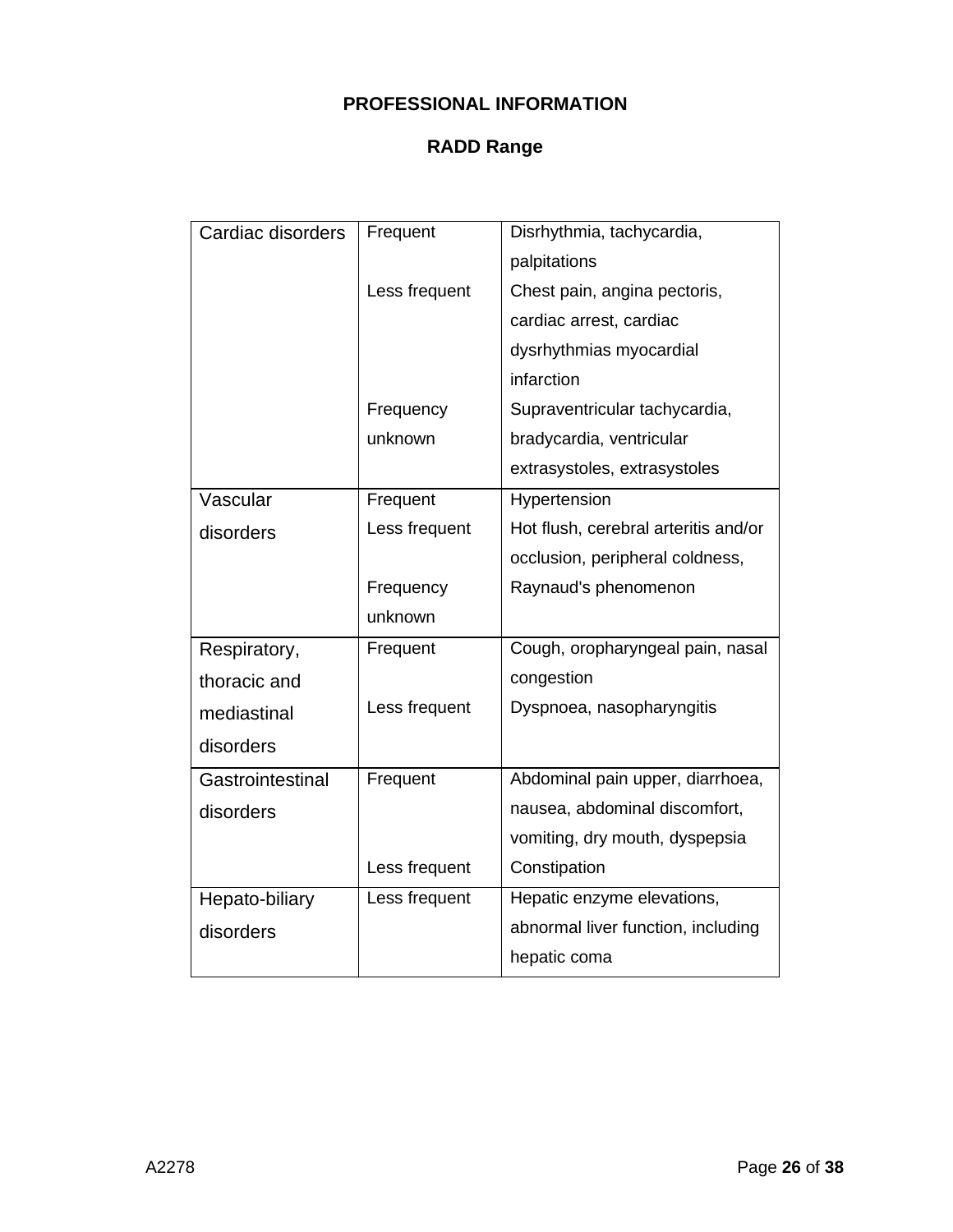| Cardiac disorders | Frequent      | Disrhythmia, tachycardia,            |
|-------------------|---------------|--------------------------------------|
|                   |               | palpitations                         |
|                   | Less frequent | Chest pain, angina pectoris,         |
|                   |               | cardiac arrest, cardiac              |
|                   |               | dysrhythmias myocardial              |
|                   |               | infarction                           |
|                   | Frequency     | Supraventricular tachycardia,        |
|                   | unknown       | bradycardia, ventricular             |
|                   |               | extrasystoles, extrasystoles         |
| Vascular          | Frequent      | Hypertension                         |
| disorders         | Less frequent | Hot flush, cerebral arteritis and/or |
|                   |               | occlusion, peripheral coldness,      |
|                   | Frequency     | Raynaud's phenomenon                 |
|                   | unknown       |                                      |
| Respiratory,      | Frequent      | Cough, oropharyngeal pain, nasal     |
| thoracic and      |               | congestion                           |
| mediastinal       | Less frequent | Dyspnoea, nasopharyngitis            |
| disorders         |               |                                      |
| Gastrointestinal  | Frequent      | Abdominal pain upper, diarrhoea,     |
| disorders         |               | nausea, abdominal discomfort,        |
|                   |               | vomiting, dry mouth, dyspepsia       |
|                   | Less frequent | Constipation                         |
| Hepato-biliary    |               |                                      |
|                   | Less frequent | Hepatic enzyme elevations,           |
| disorders         |               | abnormal liver function, including   |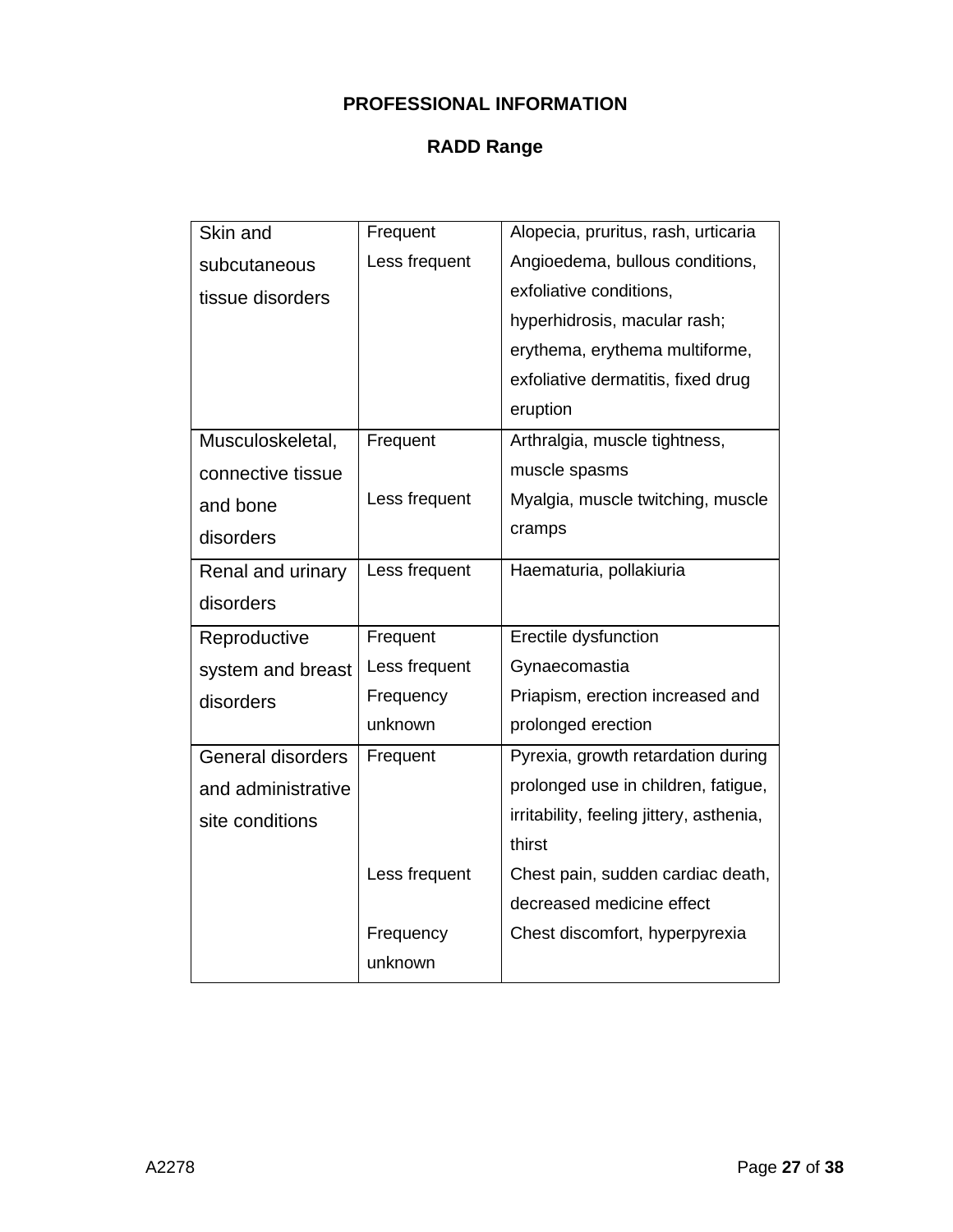| Skin and                 | Frequent      | Alopecia, pruritus, rash, urticaria      |
|--------------------------|---------------|------------------------------------------|
| subcutaneous             | Less frequent | Angioedema, bullous conditions,          |
| tissue disorders         |               | exfoliative conditions,                  |
|                          |               | hyperhidrosis, macular rash;             |
|                          |               | erythema, erythema multiforme,           |
|                          |               | exfoliative dermatitis, fixed drug       |
|                          |               | eruption                                 |
| Musculoskeletal,         | Frequent      | Arthralgia, muscle tightness,            |
| connective tissue        |               | muscle spasms                            |
| and bone                 | Less frequent | Myalgia, muscle twitching, muscle        |
| disorders                |               | cramps                                   |
| Renal and urinary        | Less frequent | Haematuria, pollakiuria                  |
| disorders                |               |                                          |
| Reproductive             | Frequent      | Erectile dysfunction                     |
| system and breast        | Less frequent | Gynaecomastia                            |
| disorders                | Frequency     | Priapism, erection increased and         |
|                          | unknown       | prolonged erection                       |
| <b>General disorders</b> | Frequent      | Pyrexia, growth retardation during       |
| and administrative       |               | prolonged use in children, fatigue,      |
| site conditions          |               | irritability, feeling jittery, asthenia, |
|                          |               | thirst                                   |
|                          | Less frequent | Chest pain, sudden cardiac death,        |
|                          |               | decreased medicine effect                |
|                          | Frequency     | Chest discomfort, hyperpyrexia           |
|                          | unknown       |                                          |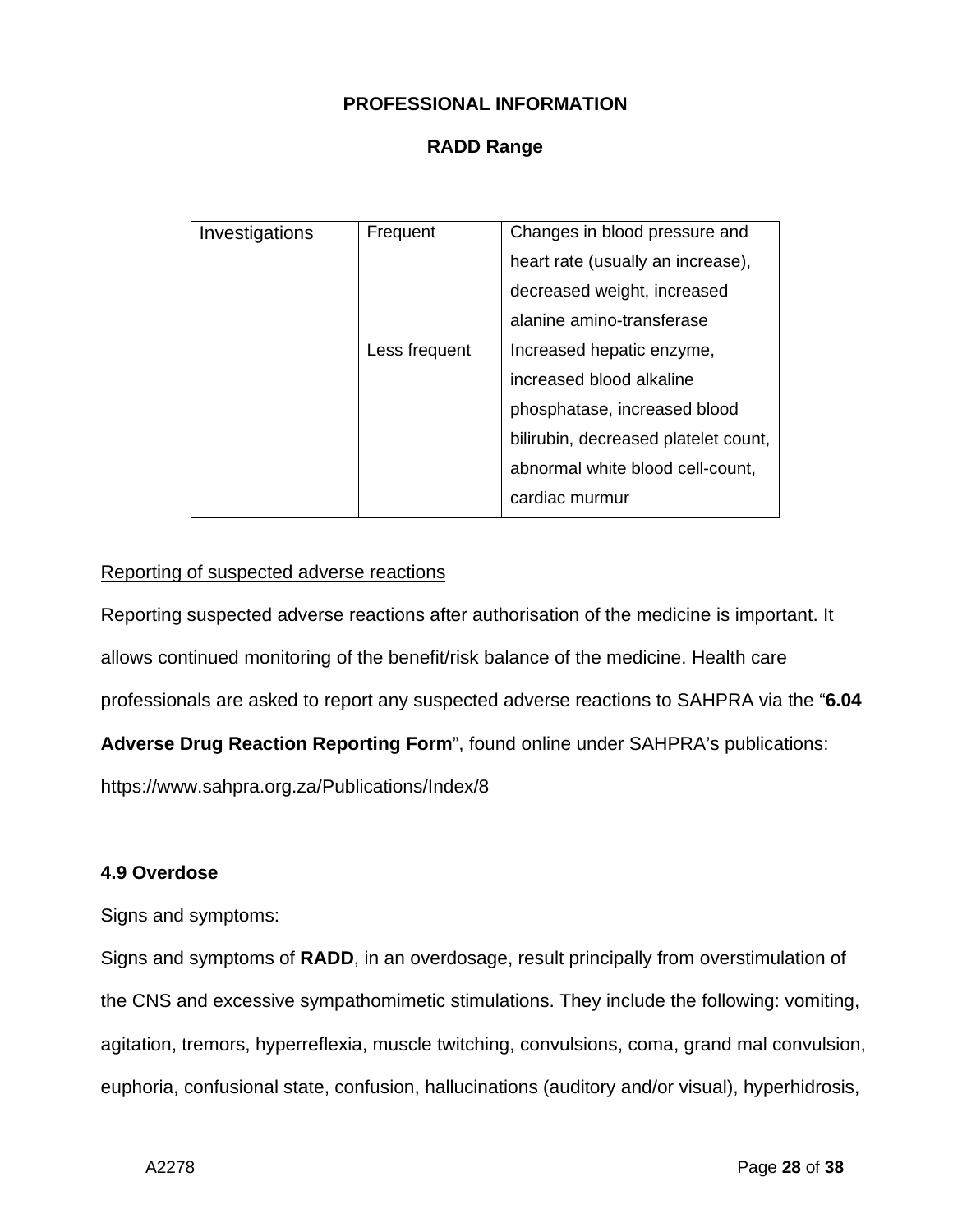## **RADD Range**

| Investigations | Frequent      | Changes in blood pressure and        |
|----------------|---------------|--------------------------------------|
|                |               | heart rate (usually an increase),    |
|                |               | decreased weight, increased          |
|                |               | alanine amino-transferase            |
|                | Less frequent | Increased hepatic enzyme,            |
|                |               | increased blood alkaline             |
|                |               | phosphatase, increased blood         |
|                |               | bilirubin, decreased platelet count, |
|                |               | abnormal white blood cell-count,     |
|                |               | cardiac murmur                       |
|                |               |                                      |

#### Reporting of suspected adverse reactions

Reporting suspected adverse reactions after authorisation of the medicine is important. It allows continued monitoring of the benefit/risk balance of the medicine. Health care professionals are asked to report any suspected adverse reactions to SAHPRA via the "**6.04** 

**Adverse Drug Reaction Reporting Form**", found online under SAHPRA's publications:

<https://www.sahpra.org.za/Publications/Index/8>

## **4.9 Overdose**

Signs and symptoms:

Signs and symptoms of **RADD**, in an overdosage, result principally from overstimulation of the CNS and excessive sympathomimetic stimulations. They include the following: vomiting, agitation, tremors, hyperreflexia, muscle twitching, convulsions, coma, grand mal convulsion, euphoria, confusional state, confusion, hallucinations (auditory and/or visual), hyperhidrosis,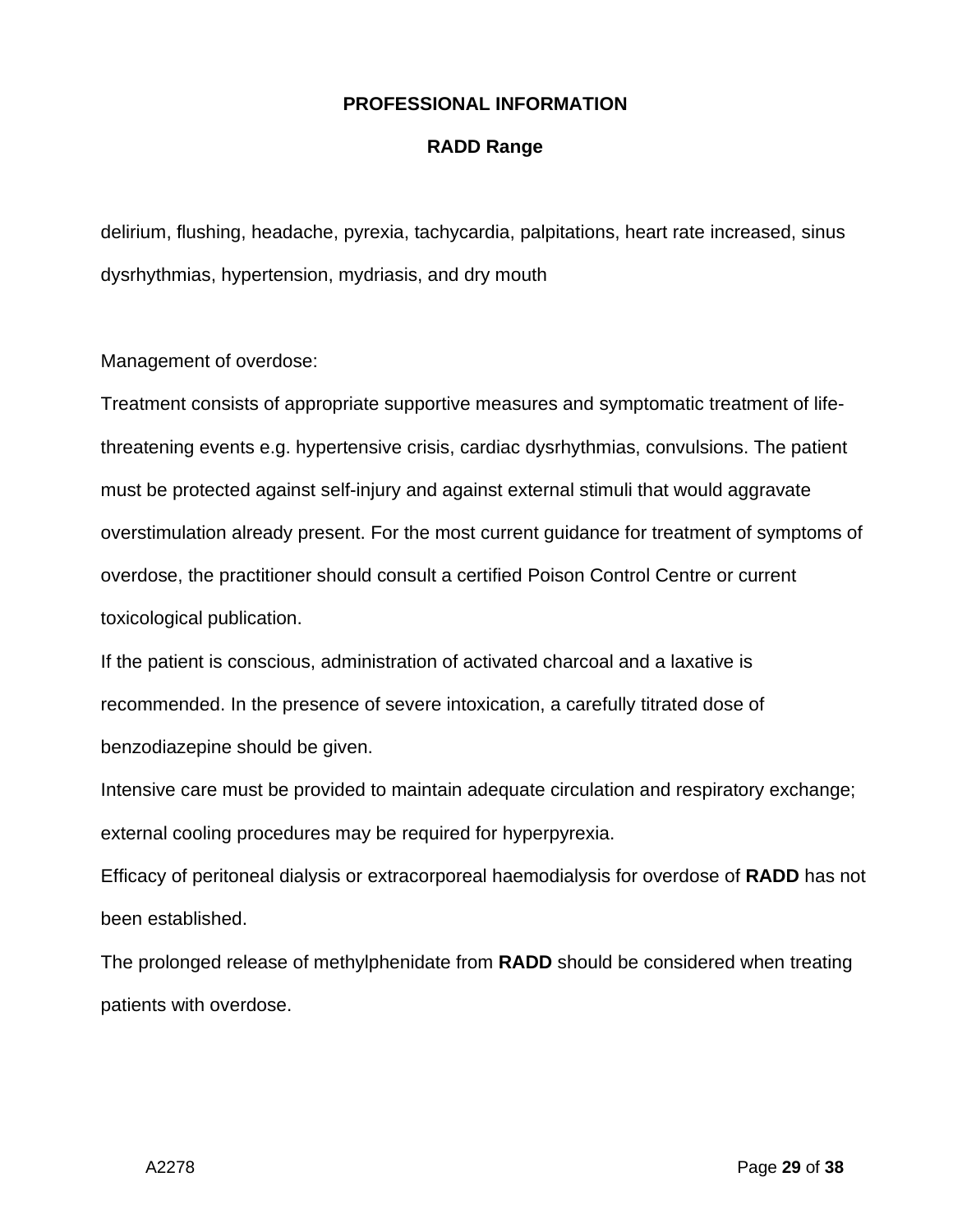#### **RADD Range**

delirium, flushing, headache, pyrexia, tachycardia, palpitations, heart rate increased, sinus dysrhythmias, hypertension, mydriasis, and dry mouth

Management of overdose:

Treatment consists of appropriate supportive measures and symptomatic treatment of lifethreatening events e.g. hypertensive crisis, cardiac dysrhythmias, convulsions. The patient must be protected against self-injury and against external stimuli that would aggravate overstimulation already present. For the most current guidance for treatment of symptoms of overdose, the practitioner should consult a certified Poison Control Centre or current toxicological publication.

If the patient is conscious, administration of activated charcoal and a laxative is recommended. In the presence of severe intoxication, a carefully titrated dose of benzodiazepine should be given.

Intensive care must be provided to maintain adequate circulation and respiratory exchange; external cooling procedures may be required for hyperpyrexia.

Efficacy of peritoneal dialysis or extracorporeal haemodialysis for overdose of **RADD** has not been established.

The prolonged release of methylphenidate from **RADD** should be considered when treating patients with overdose.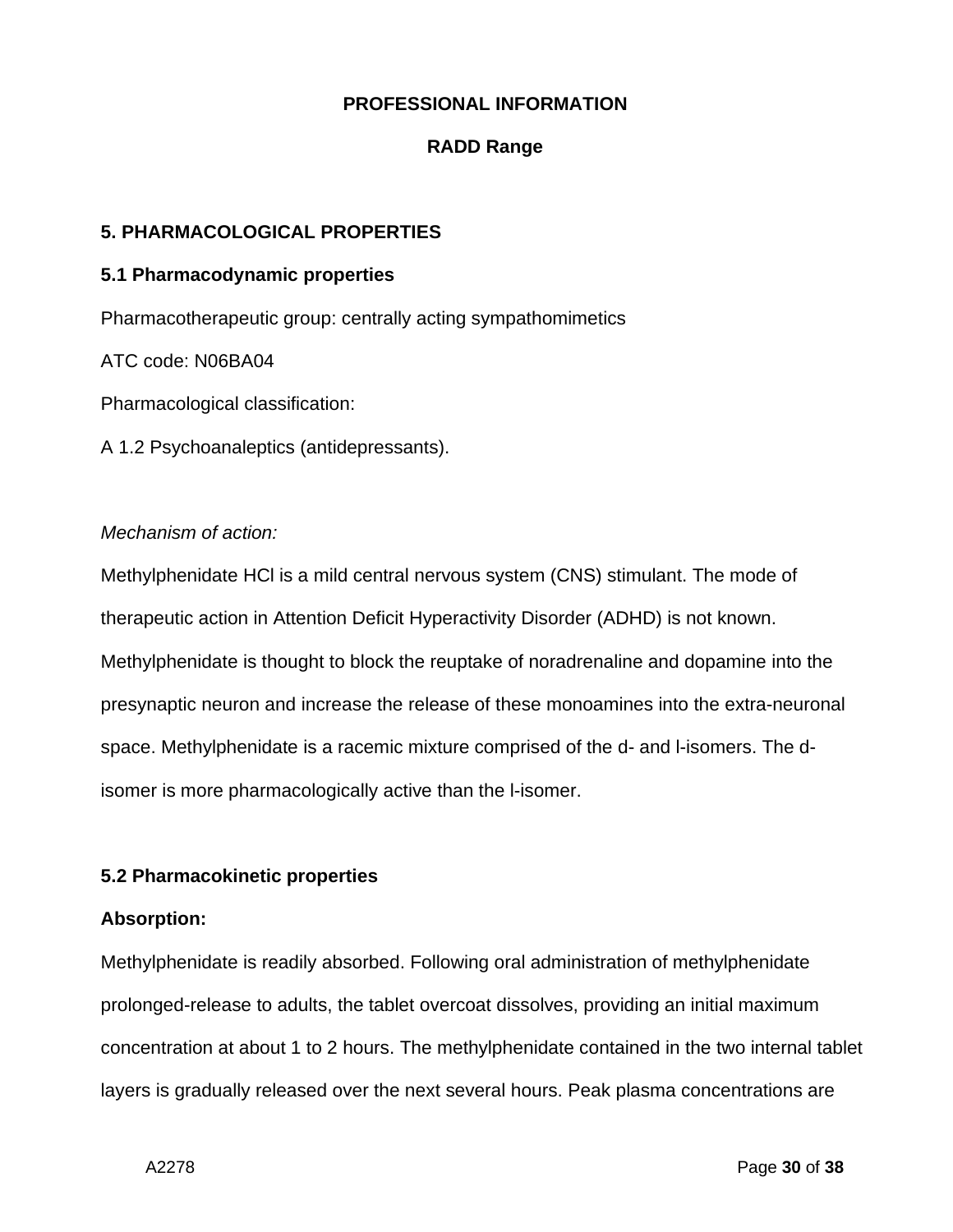## **RADD Range**

## **5. PHARMACOLOGICAL PROPERTIES**

#### **5.1 Pharmacodynamic properties**

Pharmacotherapeutic group: centrally acting sympathomimetics

ATC code: N06BA04

Pharmacological classification:

A 1.2 Psychoanaleptics (antidepressants).

#### *Mechanism of action:*

Methylphenidate HCl is a mild central nervous system (CNS) stimulant. The mode of therapeutic action in Attention Deficit Hyperactivity Disorder (ADHD) is not known. Methylphenidate is thought to block the reuptake of noradrenaline and dopamine into the presynaptic neuron and increase the release of these monoamines into the extra-neuronal space. Methylphenidate is a racemic mixture comprised of the d- and l-isomers. The disomer is more pharmacologically active than the l-isomer.

## **5.2 Pharmacokinetic properties**

## **Absorption:**

Methylphenidate is readily absorbed. Following oral administration of methylphenidate prolonged-release to adults, the tablet overcoat dissolves, providing an initial maximum concentration at about 1 to 2 hours. The methylphenidate contained in the two internal tablet layers is gradually released over the next several hours. Peak plasma concentrations are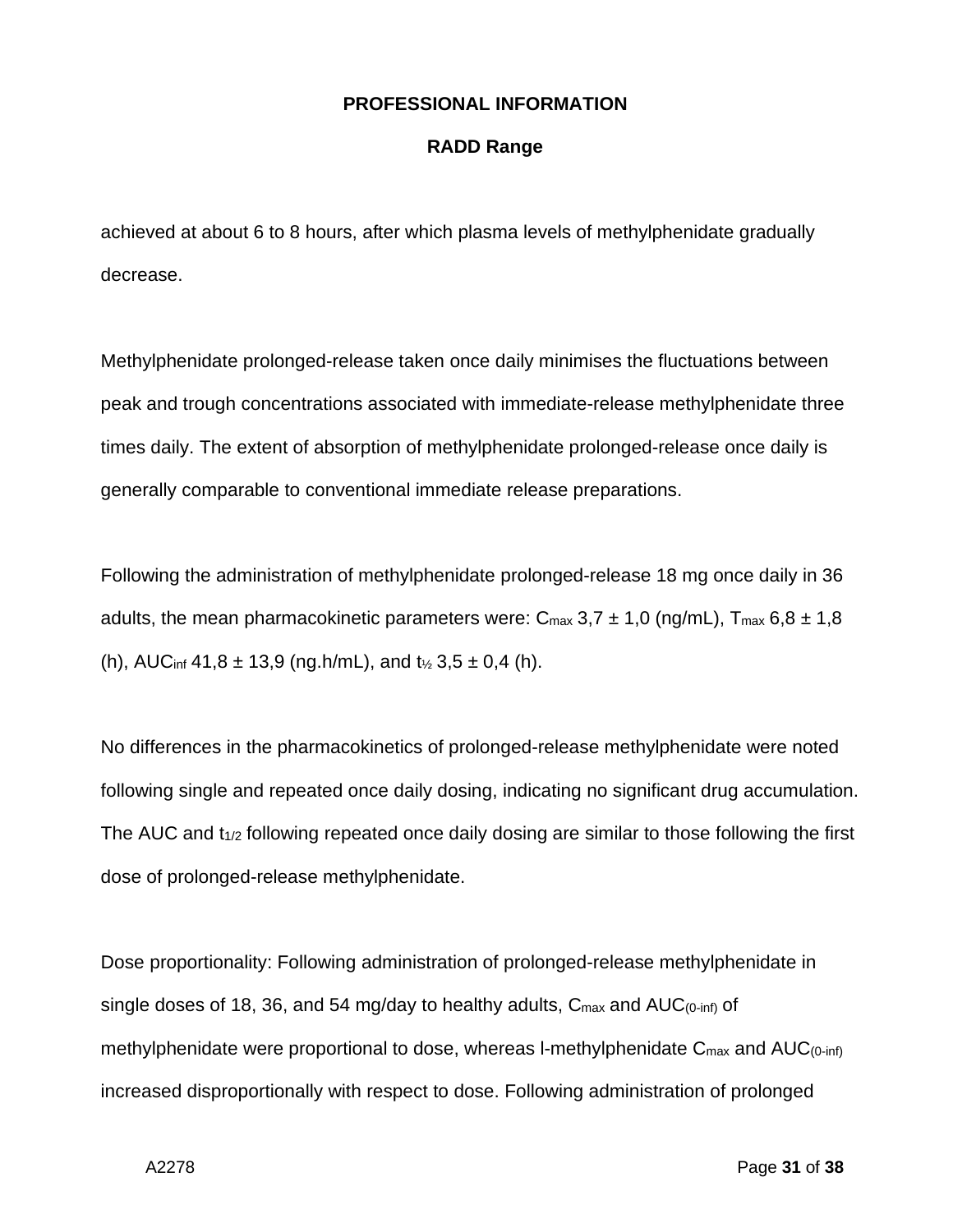#### **RADD Range**

achieved at about 6 to 8 hours, after which plasma levels of methylphenidate gradually decrease.

Methylphenidate prolonged-release taken once daily minimises the fluctuations between peak and trough concentrations associated with immediate-release methylphenidate three times daily. The extent of absorption of methylphenidate prolonged-release once daily is generally comparable to conventional immediate release preparations.

Following the administration of methylphenidate prolonged-release 18 mg once daily in 36 adults, the mean pharmacokinetic parameters were:  $C_{\text{max}}$  3,7  $\pm$  1,0 (ng/mL),  $T_{\text{max}}$  6,8  $\pm$  1,8 (h), AUC<sub>inf</sub> 41,8  $\pm$  13,9 (ng.h/mL), and t<sub>1/2</sub> 3,5  $\pm$  0,4 (h).

No differences in the pharmacokinetics of prolonged-release methylphenidate were noted following single and repeated once daily dosing, indicating no significant drug accumulation. The AUC and  $t_{1/2}$  following repeated once daily dosing are similar to those following the first dose of prolonged-release methylphenidate.

Dose proportionality: Following administration of prolonged-release methylphenidate in single doses of 18, 36, and 54 mg/day to healthy adults,  $C_{\text{max}}$  and  $AUC_{(0-inf)}$  of methylphenidate were proportional to dose, whereas I-methylphenidate  $C_{\text{max}}$  and  $AUC_{(0\text{-inf})}$ increased disproportionally with respect to dose. Following administration of prolonged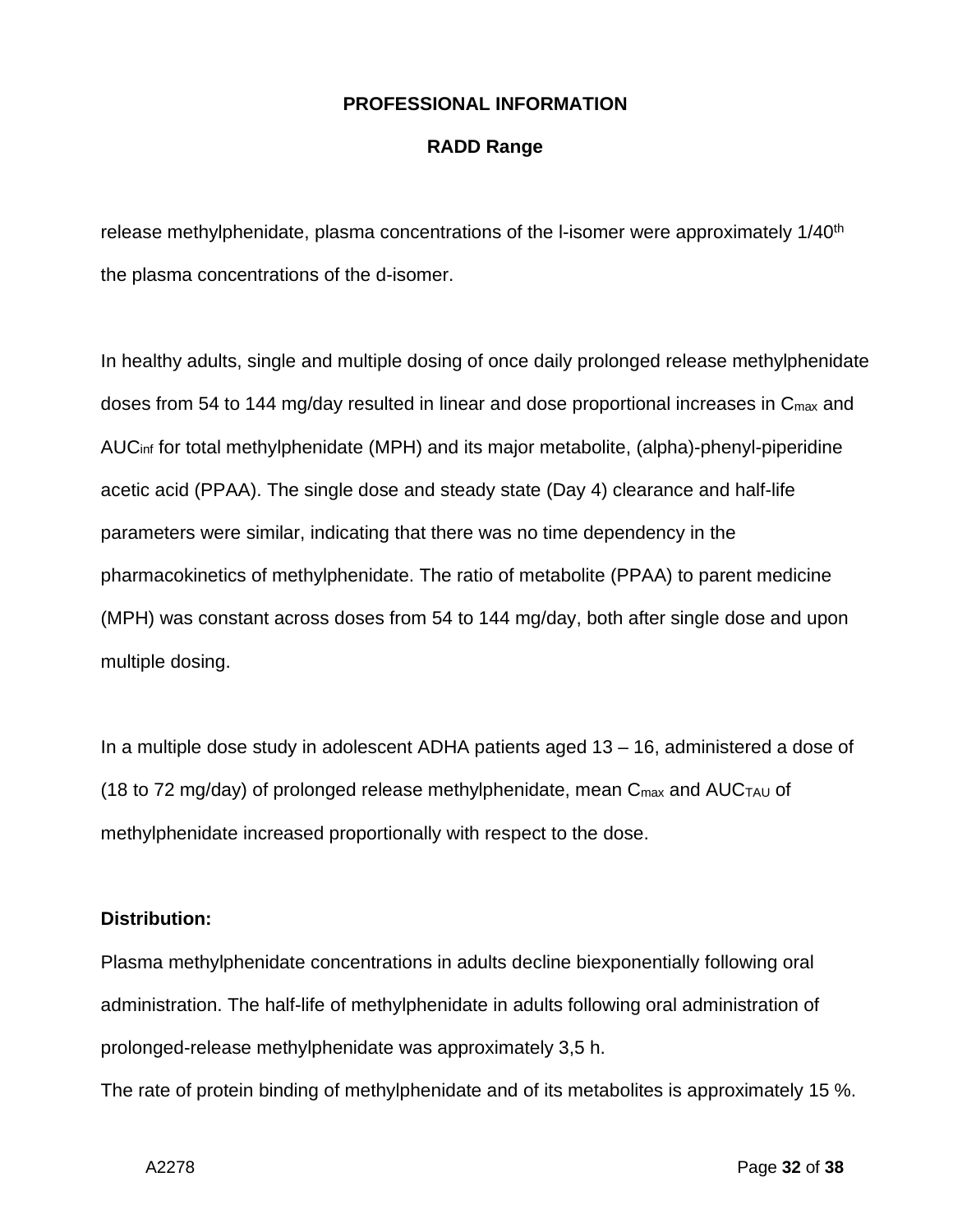#### **RADD Range**

release methylphenidate, plasma concentrations of the I-isomer were approximately 1/40<sup>th</sup> the plasma concentrations of the d-isomer.

In healthy adults, single and multiple dosing of once daily prolonged release methylphenidate doses from 54 to 144 mg/day resulted in linear and dose proportional increases in C<sub>max</sub> and AUCinf for total methylphenidate (MPH) and its major metabolite, (alpha)-phenyl-piperidine acetic acid (PPAA). The single dose and steady state (Day 4) clearance and half-life parameters were similar, indicating that there was no time dependency in the pharmacokinetics of methylphenidate. The ratio of metabolite (PPAA) to parent medicine (MPH) was constant across doses from 54 to 144 mg/day, both after single dose and upon multiple dosing.

In a multiple dose study in adolescent ADHA patients aged 13 – 16, administered a dose of (18 to 72 mg/day) of prolonged release methylphenidate, mean  $C_{\text{max}}$  and AUC $_{\text{TAU}}$  of methylphenidate increased proportionally with respect to the dose.

#### **Distribution:**

Plasma methylphenidate concentrations in adults decline biexponentially following oral administration. The half-life of methylphenidate in adults following oral administration of prolonged-release methylphenidate was approximately 3,5 h.

The rate of protein binding of methylphenidate and of its metabolites is approximately 15 %.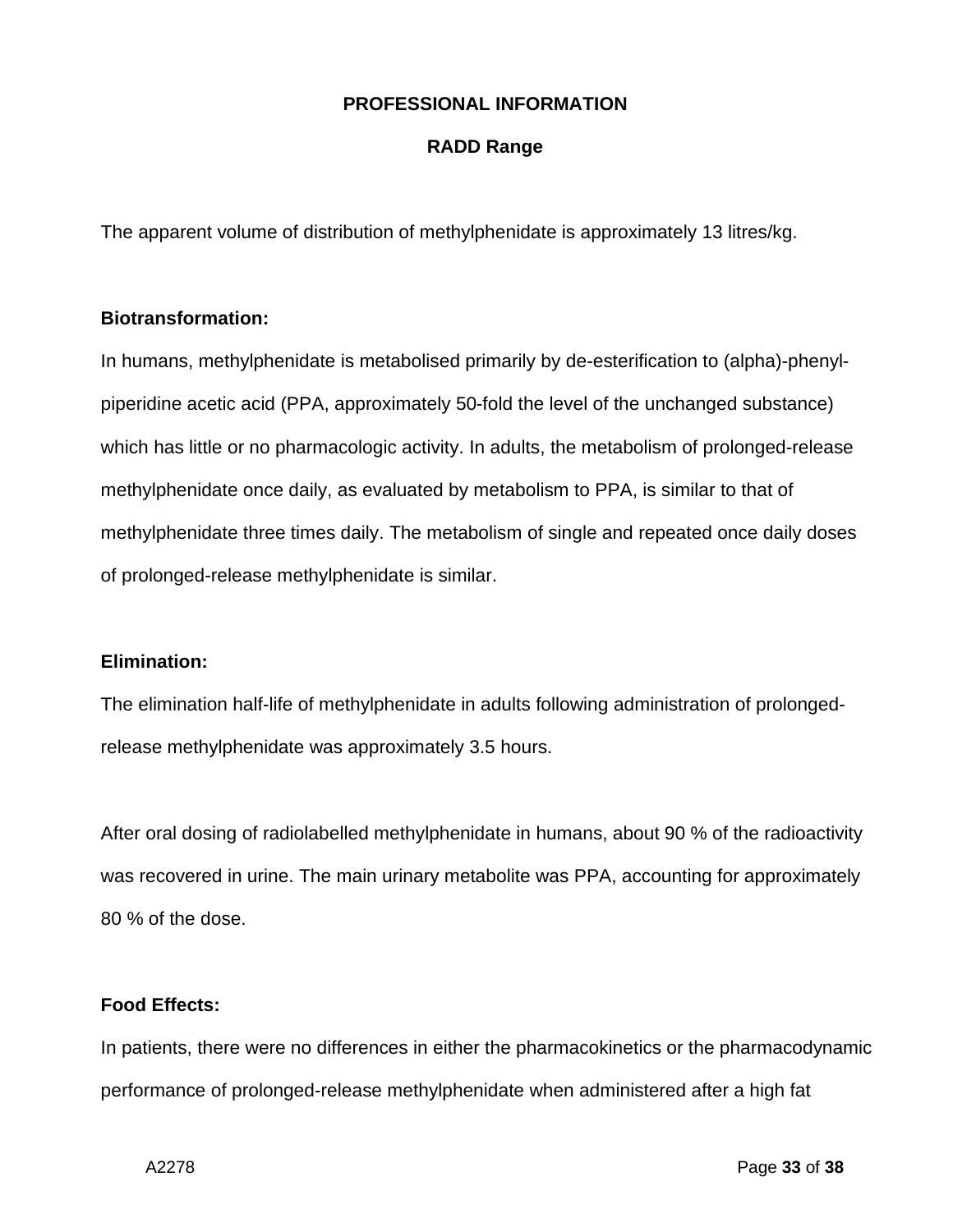#### **RADD Range**

The apparent volume of distribution of methylphenidate is approximately 13 litres/kg.

#### **Biotransformation:**

In humans, methylphenidate is metabolised primarily by de-esterification to (alpha)-phenylpiperidine acetic acid (PPA, approximately 50-fold the level of the unchanged substance) which has little or no pharmacologic activity. In adults, the metabolism of prolonged-release methylphenidate once daily, as evaluated by metabolism to PPA, is similar to that of methylphenidate three times daily. The metabolism of single and repeated once daily doses of prolonged-release methylphenidate is similar.

#### **Elimination:**

The elimination half-life of methylphenidate in adults following administration of prolongedrelease methylphenidate was approximately 3.5 hours.

After oral dosing of radiolabelled methylphenidate in humans, about 90 % of the radioactivity was recovered in urine. The main urinary metabolite was PPA, accounting for approximately 80 % of the dose.

## **Food Effects:**

In patients, there were no differences in either the pharmacokinetics or the pharmacodynamic performance of prolonged-release methylphenidate when administered after a high fat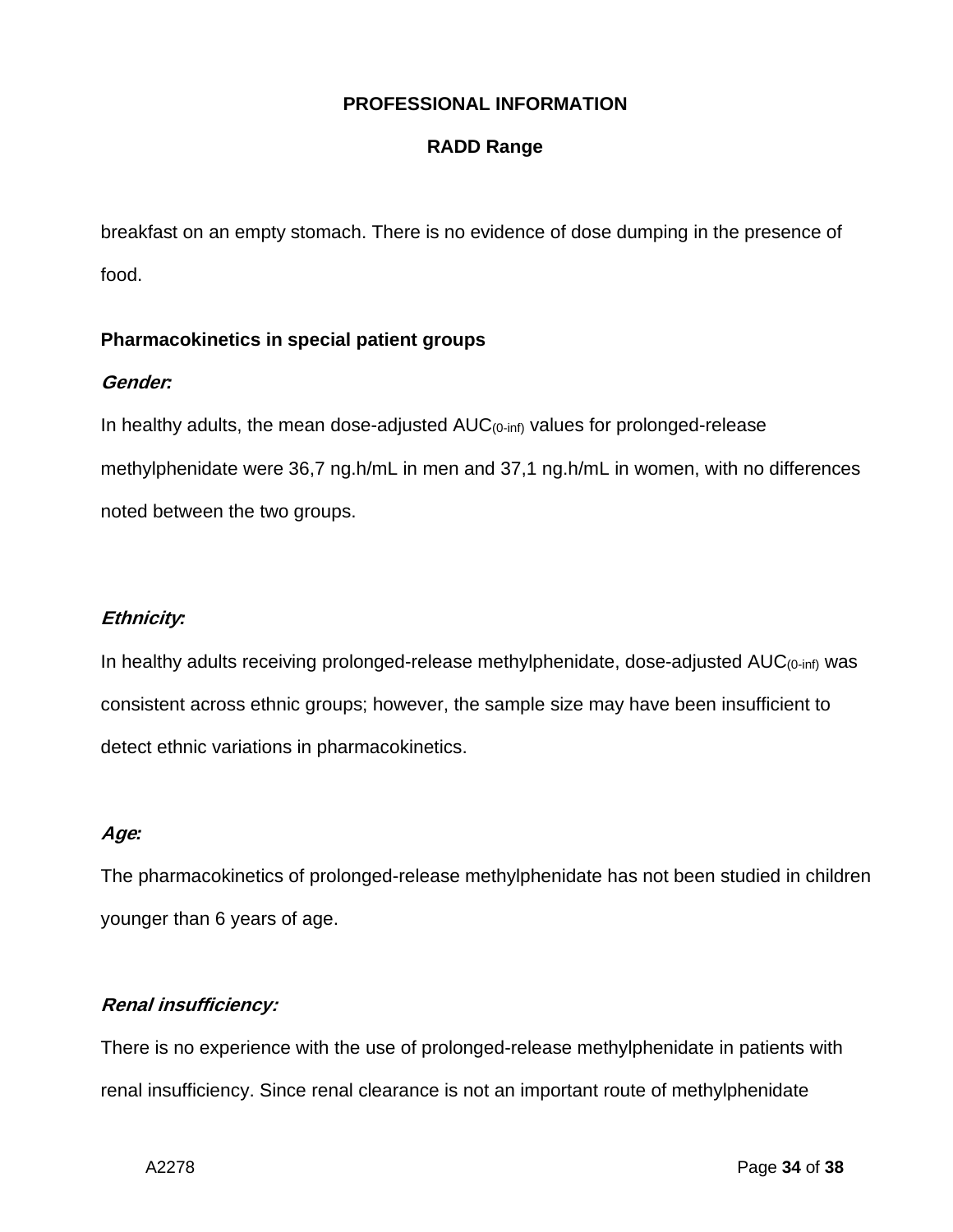## **RADD Range**

breakfast on an empty stomach. There is no evidence of dose dumping in the presence of food.

## **Pharmacokinetics in special patient groups**

## **Gender***:*

In healthy adults, the mean dose-adjusted  $AUC_{(0\text{-inf})}$  values for prolonged-release methylphenidate were 36,7 ng.h/mL in men and 37,1 ng.h/mL in women, with no differences noted between the two groups.

## **Ethnicity***:*

In healthy adults receiving prolonged-release methylphenidate, dose-adjusted AUC(0-inf) was consistent across ethnic groups; however, the sample size may have been insufficient to detect ethnic variations in pharmacokinetics.

## **Age***:*

The pharmacokinetics of prolonged-release methylphenidate has not been studied in children younger than 6 years of age.

## **Renal insufficiency:**

There is no experience with the use of prolonged-release methylphenidate in patients with renal insufficiency. Since renal clearance is not an important route of methylphenidate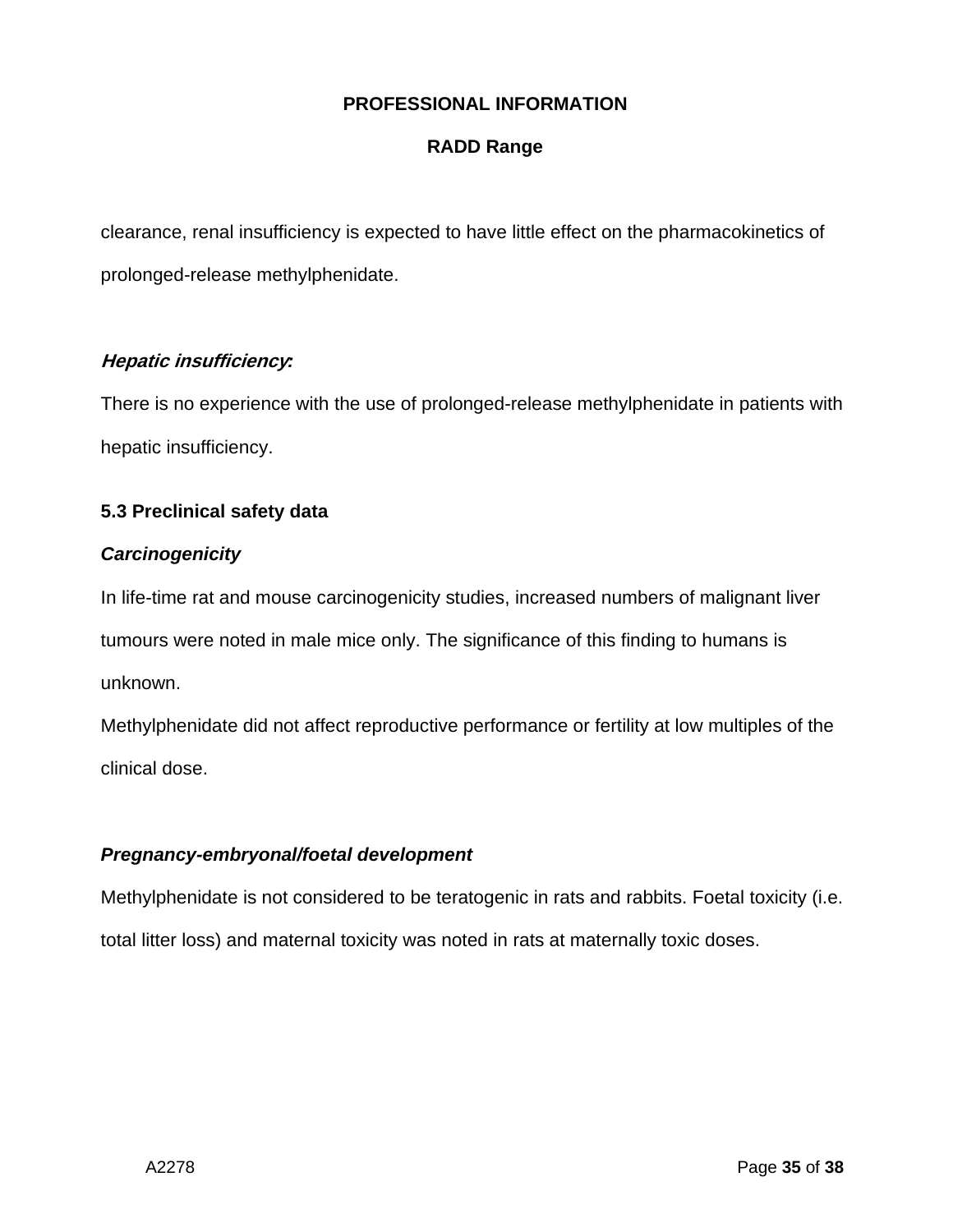## **RADD Range**

clearance, renal insufficiency is expected to have little effect on the pharmacokinetics of prolonged-release methylphenidate.

## **Hepatic insufficiency***:*

There is no experience with the use of prolonged-release methylphenidate in patients with hepatic insufficiency.

## **5.3 Preclinical safety data**

#### *Carcinogenicity*

In life-time rat and mouse carcinogenicity studies, increased numbers of malignant liver tumours were noted in male mice only. The significance of this finding to humans is unknown.

Methylphenidate did not affect reproductive performance or fertility at low multiples of the clinical dose.

## *Pregnancy-embryonal/foetal development*

Methylphenidate is not considered to be teratogenic in rats and rabbits. Foetal toxicity (i.e. total litter loss) and maternal toxicity was noted in rats at maternally toxic doses.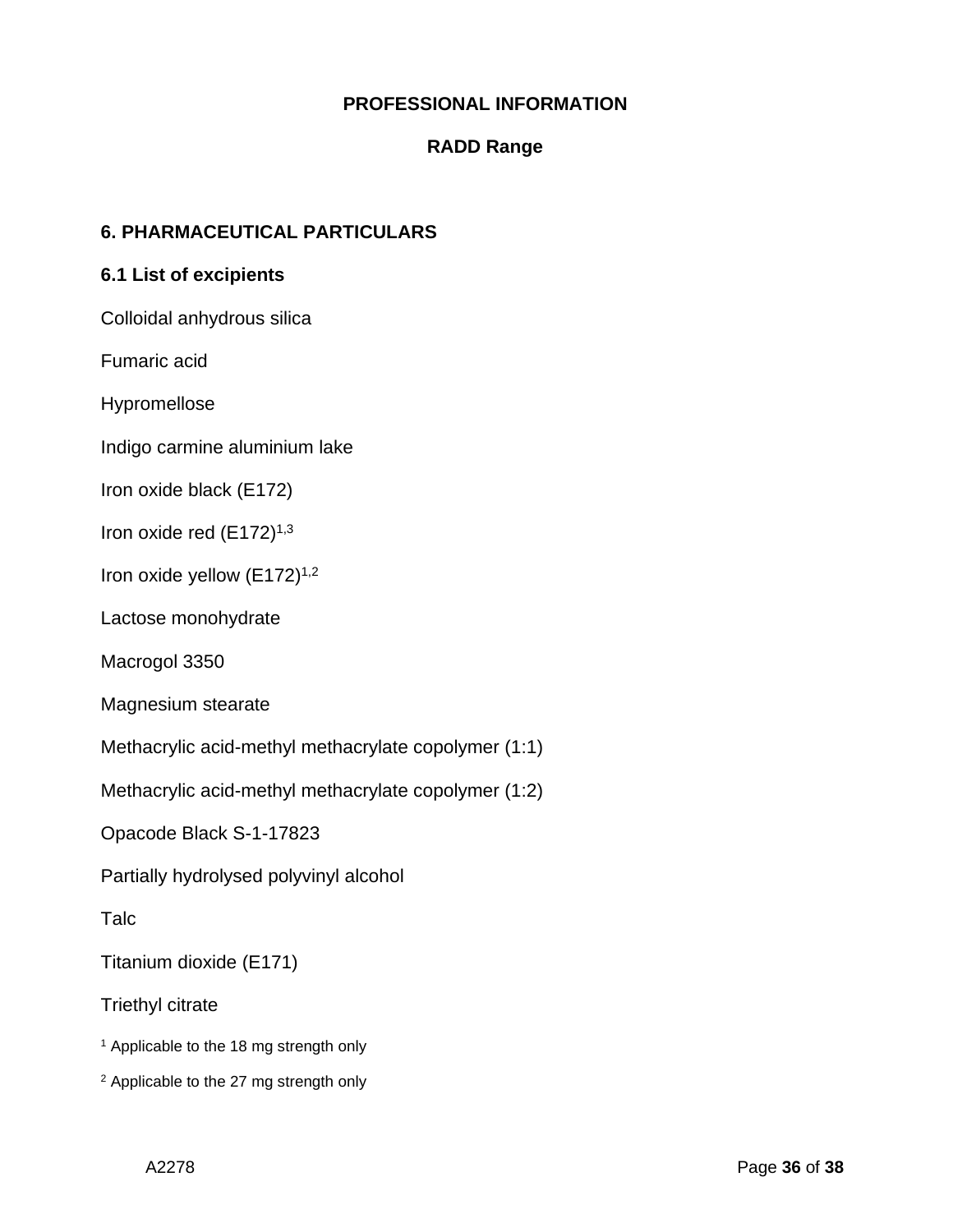## **RADD Range**

## **6. PHARMACEUTICAL PARTICULARS**

#### **6.1 List of excipients**

Colloidal anhydrous silica

Fumaric acid

Hypromellose

Indigo carmine aluminium lake

Iron oxide black (E172)

Iron oxide red (E172)<sup>1,3</sup>

Iron oxide yellow  $(E172)^{1,2}$ 

Lactose monohydrate

Macrogol 3350

Magnesium stearate

Methacrylic acid-methyl methacrylate copolymer (1:1)

Methacrylic acid-methyl methacrylate copolymer (1:2)

Opacode Black S-1-17823

Partially hydrolysed polyvinyl alcohol

Talc

Titanium dioxide (E171)

Triethyl citrate

<sup>1</sup> Applicable to the 18 mg strength only

<sup>2</sup> Applicable to the 27 mg strength only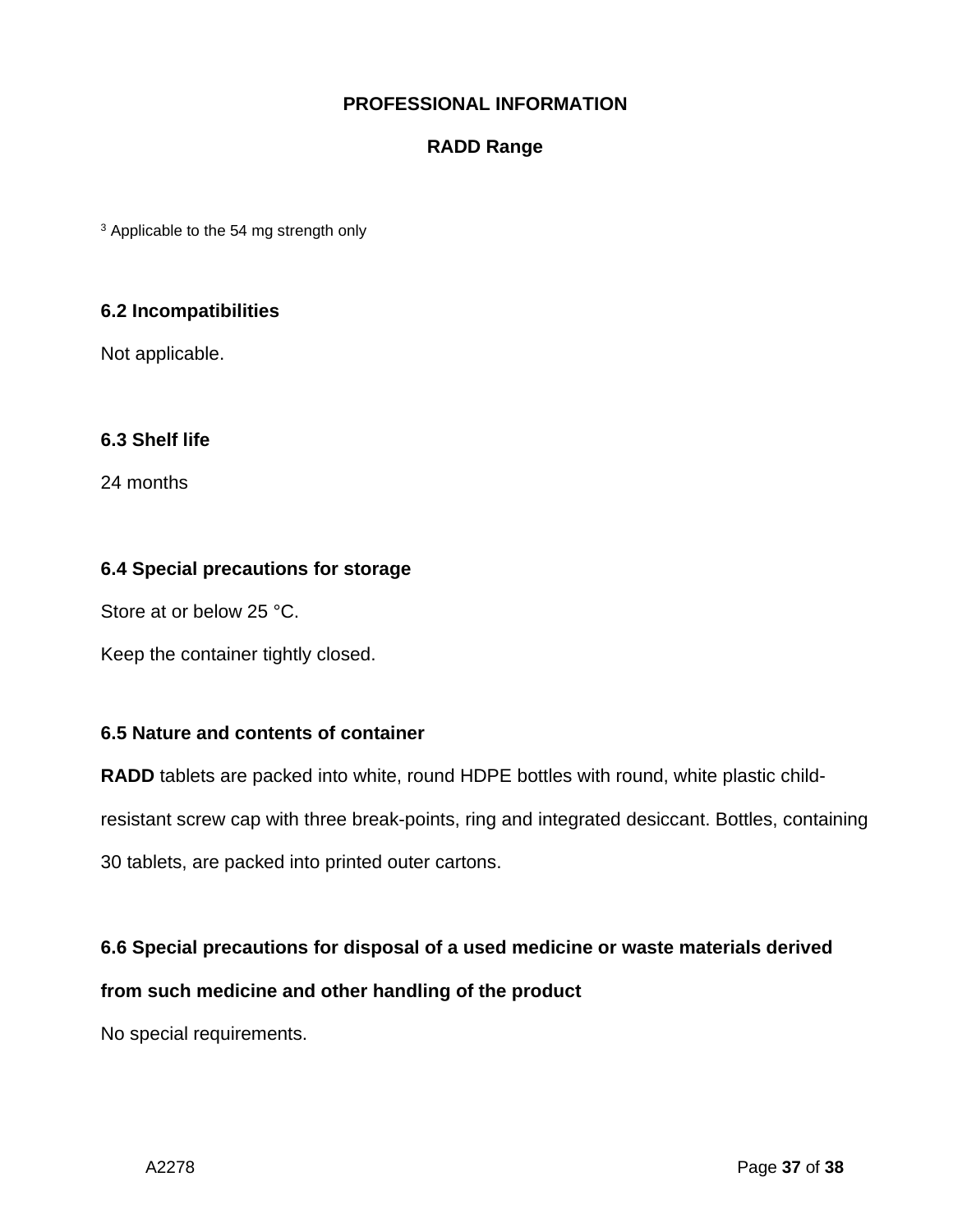## **RADD Range**

<sup>3</sup> Applicable to the 54 mg strength only

#### **6.2 Incompatibilities**

Not applicable.

## **6.3 Shelf life**

24 months

#### **6.4 Special precautions for storage**

Store at or below 25 °C.

Keep the container tightly closed.

#### **6.5 Nature and contents of container**

**RADD** tablets are packed into white, round HDPE bottles with round, white plastic child-

resistant screw cap with three break-points, ring and integrated desiccant. Bottles, containing

30 tablets, are packed into printed outer cartons.

#### **6.6 Special precautions for disposal of a used medicine or waste materials derived**

**from such medicine and other handling of the product**

No special requirements.